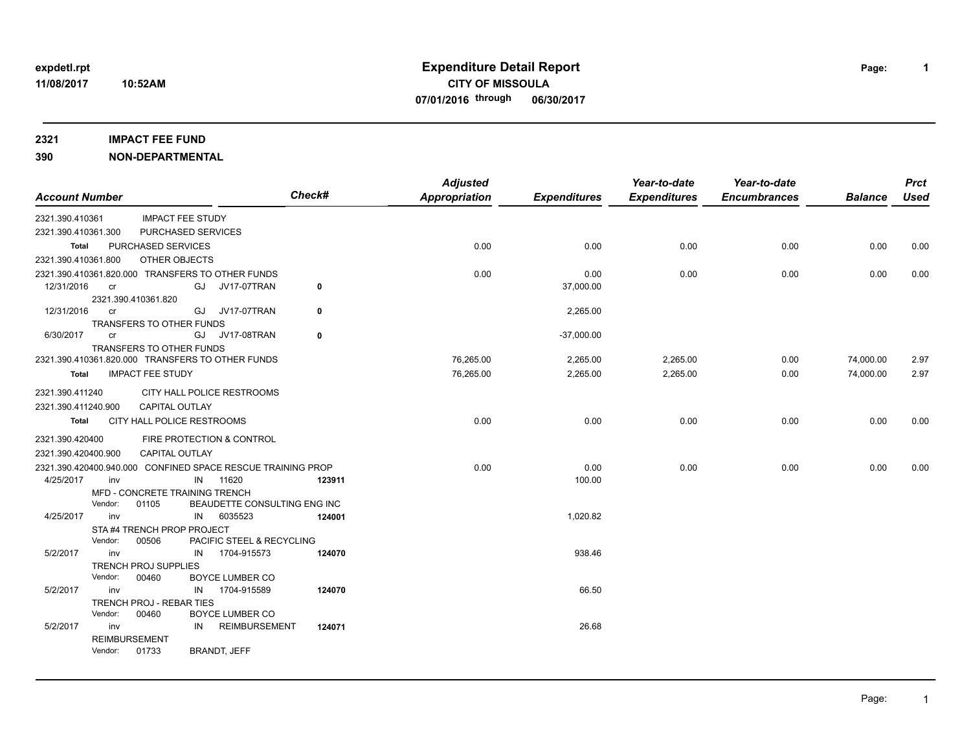**10:52AM**

# **11/08/2017 CITY OF MISSOULA expdetl.rpt Expenditure Detail Report Page: 07/01/2016 through 06/30/2017**

**2321 IMPACT FEE FUND**

**390 NON-DEPARTMENTAL**

| <b>Account Number</b> |                                                 |                                                             | Check# | <b>Adjusted</b><br><b>Appropriation</b> | <b>Expenditures</b> | Year-to-date<br><b>Expenditures</b> | Year-to-date<br><b>Encumbrances</b> | <b>Balance</b> | <b>Prct</b><br><b>Used</b> |
|-----------------------|-------------------------------------------------|-------------------------------------------------------------|--------|-----------------------------------------|---------------------|-------------------------------------|-------------------------------------|----------------|----------------------------|
| 2321.390.410361       |                                                 | <b>IMPACT FEE STUDY</b>                                     |        |                                         |                     |                                     |                                     |                |                            |
| 2321.390.410361.300   |                                                 | PURCHASED SERVICES                                          |        |                                         |                     |                                     |                                     |                |                            |
| Total                 | PURCHASED SERVICES                              |                                                             |        | 0.00                                    | 0.00                | 0.00                                | 0.00                                | 0.00           | 0.00                       |
| 2321.390.410361.800   | OTHER OBJECTS                                   |                                                             |        |                                         |                     |                                     |                                     |                |                            |
|                       |                                                 | 2321.390.410361.820.000 TRANSFERS TO OTHER FUNDS            |        | 0.00                                    | 0.00                | 0.00                                | 0.00                                | 0.00           | 0.00                       |
| 12/31/2016            | cr                                              | GJ<br>JV17-07TRAN                                           | 0      |                                         | 37,000.00           |                                     |                                     |                |                            |
|                       | 2321.390.410361.820                             |                                                             |        |                                         |                     |                                     |                                     |                |                            |
| 12/31/2016            | <sub>cr</sub>                                   | GJ JV17-07TRAN                                              | 0      |                                         | 2,265.00            |                                     |                                     |                |                            |
|                       | <b>TRANSFERS TO OTHER FUNDS</b>                 |                                                             |        |                                         |                     |                                     |                                     |                |                            |
| 6/30/2017             | cr                                              | <b>JV17-08TRAN</b><br>GJ                                    | 0      |                                         | $-37,000.00$        |                                     |                                     |                |                            |
|                       | TRANSFERS TO OTHER FUNDS                        | 2321.390.410361.820.000 TRANSFERS TO OTHER FUNDS            |        | 76,265.00                               | 2,265.00            | 2,265.00                            | 0.00                                | 74,000.00      | 2.97                       |
| Total                 | <b>IMPACT FEE STUDY</b>                         |                                                             |        |                                         | 2,265.00            | 2,265.00                            |                                     |                |                            |
|                       |                                                 |                                                             |        | 76,265.00                               |                     |                                     | 0.00                                | 74,000.00      | 2.97                       |
| 2321.390.411240       |                                                 | CITY HALL POLICE RESTROOMS                                  |        |                                         |                     |                                     |                                     |                |                            |
| 2321.390.411240.900   | <b>CAPITAL OUTLAY</b>                           |                                                             |        |                                         |                     |                                     |                                     |                |                            |
| Total                 | CITY HALL POLICE RESTROOMS                      |                                                             |        | 0.00                                    | 0.00                | 0.00                                | 0.00                                | 0.00           | 0.00                       |
| 2321.390.420400       |                                                 | FIRE PROTECTION & CONTROL                                   |        |                                         |                     |                                     |                                     |                |                            |
| 2321.390.420400.900   | <b>CAPITAL OUTLAY</b>                           |                                                             |        |                                         |                     |                                     |                                     |                |                            |
|                       |                                                 | 2321.390.420400.940.000 CONFINED SPACE RESCUE TRAINING PROP |        | 0.00                                    | 0.00                | 0.00                                | 0.00                                | 0.00           | 0.00                       |
| 4/25/2017             | inv                                             | IN<br>11620                                                 | 123911 |                                         | 100.00              |                                     |                                     |                |                            |
|                       | MFD - CONCRETE TRAINING TRENCH                  |                                                             |        |                                         |                     |                                     |                                     |                |                            |
|                       | Vendor:<br>01105                                | BEAUDETTE CONSULTING ENG INC                                |        |                                         |                     |                                     |                                     |                |                            |
| 4/25/2017             | inv                                             | 6035523<br>IN                                               | 124001 |                                         | 1,020.82            |                                     |                                     |                |                            |
|                       | STA #4 TRENCH PROP PROJECT                      |                                                             |        |                                         |                     |                                     |                                     |                |                            |
|                       | Vendor:<br>00506                                | PACIFIC STEEL & RECYCLING                                   |        |                                         |                     |                                     |                                     |                |                            |
| 5/2/2017              | inv                                             | 1704-915573<br>IN                                           | 124070 |                                         | 938.46              |                                     |                                     |                |                            |
|                       | <b>TRENCH PROJ SUPPLIES</b><br>Vendor:<br>00460 | <b>BOYCE LUMBER CO</b>                                      |        |                                         |                     |                                     |                                     |                |                            |
| 5/2/2017              | inv                                             | 1704-915589<br>IN                                           | 124070 |                                         | 66.50               |                                     |                                     |                |                            |
|                       | TRENCH PROJ - REBAR TIES                        |                                                             |        |                                         |                     |                                     |                                     |                |                            |
|                       | Vendor:<br>00460                                | <b>BOYCE LUMBER CO</b>                                      |        |                                         |                     |                                     |                                     |                |                            |
| 5/2/2017              | inv                                             | <b>REIMBURSEMENT</b><br>IN                                  | 124071 |                                         | 26.68               |                                     |                                     |                |                            |
|                       | <b>REIMBURSEMENT</b>                            |                                                             |        |                                         |                     |                                     |                                     |                |                            |
|                       | Vendor:<br>01733                                | BRANDT, JEFF                                                |        |                                         |                     |                                     |                                     |                |                            |

**1**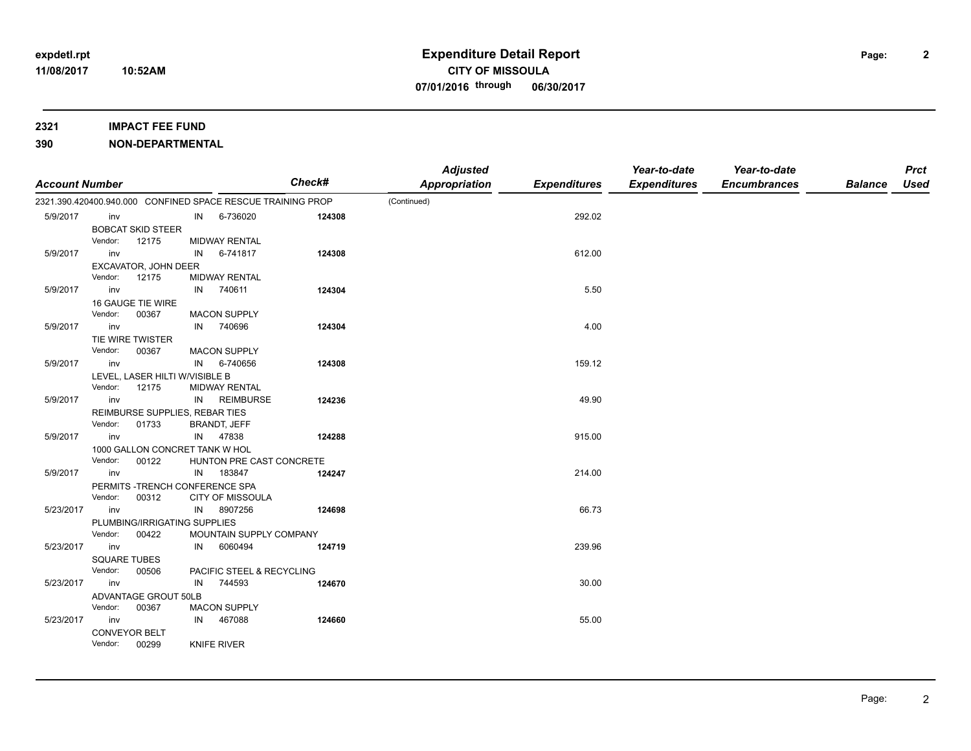### **2321 IMPACT FEE FUND**

| <b>Account Number</b> |                     |                                 |    |                                                             | Check# | <b>Adjusted</b><br>Appropriation | <b>Expenditures</b> | Year-to-date<br><b>Expenditures</b> | Year-to-date<br><b>Encumbrances</b> | <b>Balance</b> | <b>Prct</b><br><b>Used</b> |
|-----------------------|---------------------|---------------------------------|----|-------------------------------------------------------------|--------|----------------------------------|---------------------|-------------------------------------|-------------------------------------|----------------|----------------------------|
|                       |                     |                                 |    | 2321.390.420400.940.000 CONFINED SPACE RESCUE TRAINING PROP |        | (Continued)                      |                     |                                     |                                     |                |                            |
| 5/9/2017              | inv                 |                                 | IN | 6-736020                                                    | 124308 |                                  | 292.02              |                                     |                                     |                |                            |
|                       |                     | <b>BOBCAT SKID STEER</b>        |    |                                                             |        |                                  |                     |                                     |                                     |                |                            |
|                       | Vendor:             | 12175                           |    | <b>MIDWAY RENTAL</b>                                        |        |                                  |                     |                                     |                                     |                |                            |
| 5/9/2017              | inv                 |                                 | IN | 6-741817                                                    | 124308 |                                  | 612.00              |                                     |                                     |                |                            |
|                       |                     | EXCAVATOR, JOHN DEER            |    |                                                             |        |                                  |                     |                                     |                                     |                |                            |
|                       | Vendor:             | 12175                           |    | <b>MIDWAY RENTAL</b>                                        |        |                                  |                     |                                     |                                     |                |                            |
| 5/9/2017              | inv                 |                                 | IN | 740611                                                      | 124304 |                                  | 5.50                |                                     |                                     |                |                            |
|                       |                     | 16 GAUGE TIE WIRE               |    |                                                             |        |                                  |                     |                                     |                                     |                |                            |
|                       | Vendor:             | 00367                           |    | <b>MACON SUPPLY</b>                                         |        |                                  |                     |                                     |                                     |                |                            |
| 5/9/2017              | inv                 |                                 | IN | 740696                                                      | 124304 |                                  | 4.00                |                                     |                                     |                |                            |
|                       |                     | TIE WIRE TWISTER                |    |                                                             |        |                                  |                     |                                     |                                     |                |                            |
|                       | Vendor:             | 00367                           |    | <b>MACON SUPPLY</b>                                         |        |                                  |                     |                                     |                                     |                |                            |
| 5/9/2017              | inv                 |                                 |    | IN 6-740656                                                 | 124308 |                                  | 159.12              |                                     |                                     |                |                            |
|                       |                     | LEVEL, LASER HILTI W/VISIBLE B  |    |                                                             |        |                                  |                     |                                     |                                     |                |                            |
|                       | Vendor:             | 12175                           |    | <b>MIDWAY RENTAL</b>                                        |        |                                  |                     |                                     |                                     |                |                            |
| 5/9/2017              | inv                 |                                 |    | IN REIMBURSE                                                | 124236 |                                  | 49.90               |                                     |                                     |                |                            |
|                       |                     | REIMBURSE SUPPLIES, REBAR TIES  |    |                                                             |        |                                  |                     |                                     |                                     |                |                            |
|                       | Vendor:             | 01733                           |    | <b>BRANDT, JEFF</b>                                         |        |                                  |                     |                                     |                                     |                |                            |
| 5/9/2017              | inv                 |                                 |    | IN 47838                                                    | 124288 |                                  | 915.00              |                                     |                                     |                |                            |
|                       |                     | 1000 GALLON CONCRET TANK W HOL  |    |                                                             |        |                                  |                     |                                     |                                     |                |                            |
|                       | Vendor:             | 00122                           |    | HUNTON PRE CAST CONCRETE                                    |        |                                  |                     |                                     |                                     |                |                            |
| 5/9/2017              | inv                 |                                 |    | IN 183847                                                   | 124247 |                                  | 214.00              |                                     |                                     |                |                            |
|                       |                     | PERMITS - TRENCH CONFERENCE SPA |    |                                                             |        |                                  |                     |                                     |                                     |                |                            |
|                       | Vendor:             | 00312                           |    | <b>CITY OF MISSOULA</b>                                     |        |                                  |                     |                                     |                                     |                |                            |
| 5/23/2017             | inv                 |                                 | IN | 8907256                                                     | 124698 |                                  | 66.73               |                                     |                                     |                |                            |
|                       |                     | PLUMBING/IRRIGATING SUPPLIES    |    |                                                             |        |                                  |                     |                                     |                                     |                |                            |
|                       | Vendor:             | 00422                           |    | MOUNTAIN SUPPLY COMPANY                                     |        |                                  |                     |                                     |                                     |                |                            |
| 5/23/2017             | inv                 |                                 | IN | 6060494                                                     | 124719 |                                  | 239.96              |                                     |                                     |                |                            |
|                       | <b>SQUARE TUBES</b> |                                 |    |                                                             |        |                                  |                     |                                     |                                     |                |                            |
|                       | Vendor:             | 00506                           |    | PACIFIC STEEL & RECYCLING                                   |        |                                  |                     |                                     |                                     |                |                            |
| 5/23/2017             | inv                 |                                 | IN | 744593                                                      | 124670 |                                  | 30.00               |                                     |                                     |                |                            |
|                       |                     | ADVANTAGE GROUT 50LB            |    |                                                             |        |                                  |                     |                                     |                                     |                |                            |
|                       | Vendor:             | 00367                           |    | <b>MACON SUPPLY</b>                                         |        |                                  |                     |                                     |                                     |                |                            |
| 5/23/2017             | inv                 |                                 | IN | 467088                                                      | 124660 |                                  | 55.00               |                                     |                                     |                |                            |
|                       |                     | <b>CONVEYOR BELT</b>            |    |                                                             |        |                                  |                     |                                     |                                     |                |                            |
|                       | Vendor:             | 00299                           |    | <b>KNIFE RIVER</b>                                          |        |                                  |                     |                                     |                                     |                |                            |
|                       |                     |                                 |    |                                                             |        |                                  |                     |                                     |                                     |                |                            |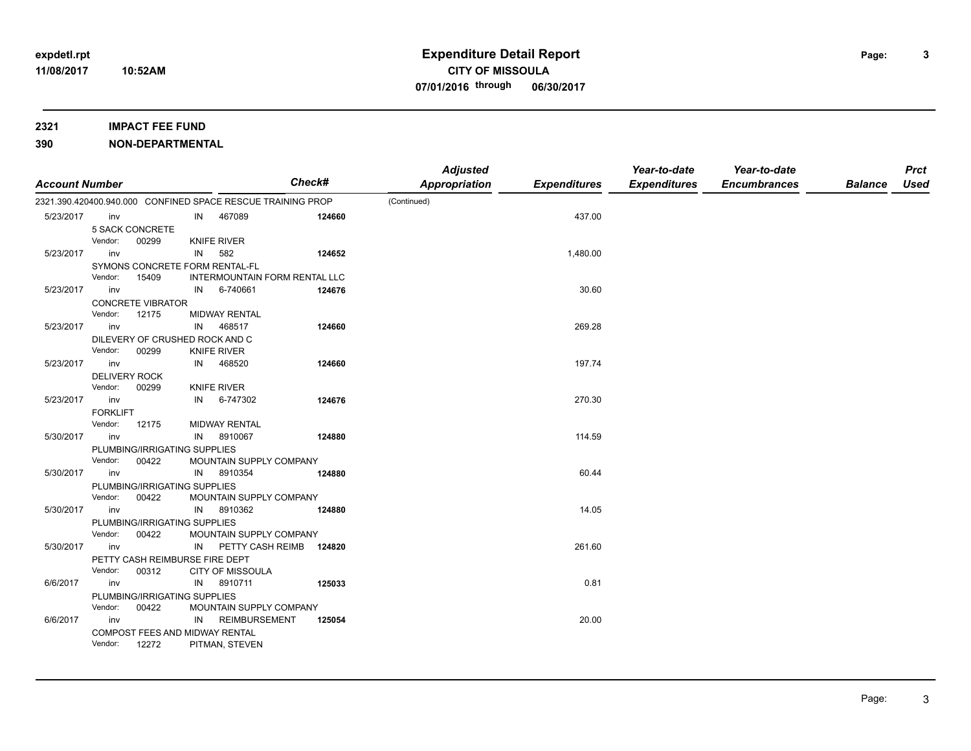### **2321 IMPACT FEE FUND**

| <b>Account Number</b> |                 |                                |    |                                                             | <b>Check#</b> | <b>Adjusted</b><br><b>Appropriation</b> | <b>Expenditures</b> | Year-to-date<br><b>Expenditures</b> | Year-to-date<br><b>Encumbrances</b> | <b>Balance</b> | <b>Prct</b><br><b>Used</b> |
|-----------------------|-----------------|--------------------------------|----|-------------------------------------------------------------|---------------|-----------------------------------------|---------------------|-------------------------------------|-------------------------------------|----------------|----------------------------|
|                       |                 |                                |    | 2321.390.420400.940.000 CONFINED SPACE RESCUE TRAINING PROP |               | (Continued)                             |                     |                                     |                                     |                |                            |
| 5/23/2017             | inv             |                                | IN | 467089                                                      | 124660        |                                         | 437.00              |                                     |                                     |                |                            |
|                       |                 | <b>5 SACK CONCRETE</b>         |    |                                                             |               |                                         |                     |                                     |                                     |                |                            |
|                       | Vendor:         | 00299                          |    | <b>KNIFE RIVER</b>                                          |               |                                         |                     |                                     |                                     |                |                            |
| 5/23/2017             | inv             |                                | IN | 582                                                         | 124652        |                                         | 1,480.00            |                                     |                                     |                |                            |
|                       |                 | SYMONS CONCRETE FORM RENTAL-FL |    |                                                             |               |                                         |                     |                                     |                                     |                |                            |
|                       | Vendor:         | 15409                          |    | <b>INTERMOUNTAIN FORM RENTAL LLC</b>                        |               |                                         |                     |                                     |                                     |                |                            |
| 5/23/2017             | inv             |                                | IN | 6-740661                                                    | 124676        |                                         | 30.60               |                                     |                                     |                |                            |
|                       |                 | <b>CONCRETE VIBRATOR</b>       |    |                                                             |               |                                         |                     |                                     |                                     |                |                            |
|                       | Vendor:         | 12175                          |    | MIDWAY RENTAL                                               |               |                                         |                     |                                     |                                     |                |                            |
| 5/23/2017             | inv             |                                | IN | 468517                                                      | 124660        |                                         | 269.28              |                                     |                                     |                |                            |
|                       |                 | DILEVERY OF CRUSHED ROCK AND C |    |                                                             |               |                                         |                     |                                     |                                     |                |                            |
|                       | Vendor:         | 00299                          |    | <b>KNIFE RIVER</b>                                          |               |                                         |                     |                                     |                                     |                |                            |
| 5/23/2017             | inv             |                                | IN | 468520                                                      | 124660        |                                         | 197.74              |                                     |                                     |                |                            |
|                       |                 | <b>DELIVERY ROCK</b>           |    |                                                             |               |                                         |                     |                                     |                                     |                |                            |
|                       | Vendor:         | 00299                          |    | <b>KNIFE RIVER</b>                                          |               |                                         |                     |                                     |                                     |                |                            |
| 5/23/2017             | inv             |                                | IN | 6-747302                                                    | 124676        |                                         | 270.30              |                                     |                                     |                |                            |
|                       | <b>FORKLIFT</b> |                                |    |                                                             |               |                                         |                     |                                     |                                     |                |                            |
|                       | Vendor:         | 12175                          |    | <b>MIDWAY RENTAL</b>                                        |               |                                         |                     |                                     |                                     |                |                            |
| 5/30/2017             | inv             |                                | IN | 8910067                                                     | 124880        |                                         | 114.59              |                                     |                                     |                |                            |
|                       |                 | PLUMBING/IRRIGATING SUPPLIES   |    |                                                             |               |                                         |                     |                                     |                                     |                |                            |
|                       | Vendor:         | 00422                          |    | MOUNTAIN SUPPLY COMPANY                                     |               |                                         |                     |                                     |                                     |                |                            |
| 5/30/2017             | inv             |                                | IN | 8910354                                                     | 124880        |                                         | 60.44               |                                     |                                     |                |                            |
|                       |                 | PLUMBING/IRRIGATING SUPPLIES   |    |                                                             |               |                                         |                     |                                     |                                     |                |                            |
|                       | Vendor:         | 00422                          |    | MOUNTAIN SUPPLY COMPANY                                     |               |                                         |                     |                                     |                                     |                |                            |
| 5/30/2017             | inv             |                                | IN | 8910362                                                     | 124880        |                                         | 14.05               |                                     |                                     |                |                            |
|                       |                 | PLUMBING/IRRIGATING SUPPLIES   |    |                                                             |               |                                         |                     |                                     |                                     |                |                            |
|                       | Vendor:         | 00422                          |    | MOUNTAIN SUPPLY COMPANY                                     |               |                                         |                     |                                     |                                     |                |                            |
| 5/30/2017             | inv             |                                | IN | PETTY CASH REIMB                                            | 124820        |                                         | 261.60              |                                     |                                     |                |                            |
|                       |                 | PETTY CASH REIMBURSE FIRE DEPT |    |                                                             |               |                                         |                     |                                     |                                     |                |                            |
|                       | Vendor:         | 00312                          |    | <b>CITY OF MISSOULA</b>                                     |               |                                         |                     |                                     |                                     |                |                            |
| 6/6/2017              | inv             |                                | IN | 8910711                                                     | 125033        |                                         | 0.81                |                                     |                                     |                |                            |
|                       |                 | PLUMBING/IRRIGATING SUPPLIES   |    |                                                             |               |                                         |                     |                                     |                                     |                |                            |
|                       | Vendor:         | 00422                          |    | MOUNTAIN SUPPLY COMPANY                                     |               |                                         |                     |                                     |                                     |                |                            |
| 6/6/2017              | inv             |                                | IN | <b>REIMBURSEMENT</b>                                        | 125054        |                                         | 20.00               |                                     |                                     |                |                            |
|                       |                 | COMPOST FEES AND MIDWAY RENTAL |    |                                                             |               |                                         |                     |                                     |                                     |                |                            |
|                       | Vendor:         | 12272                          |    | PITMAN, STEVEN                                              |               |                                         |                     |                                     |                                     |                |                            |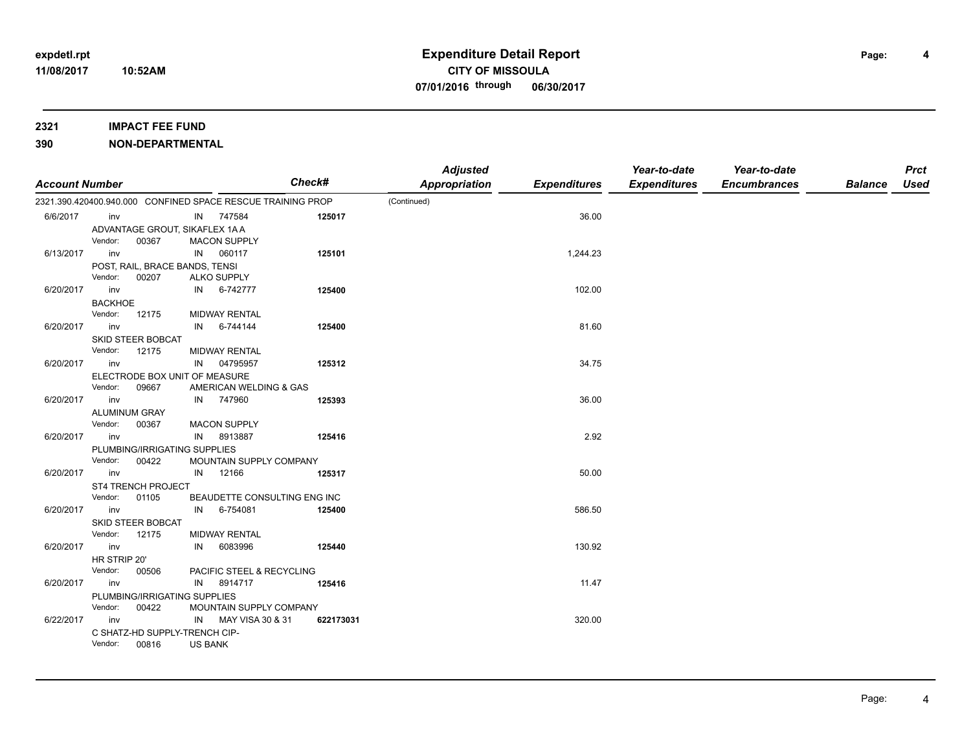### **2321 IMPACT FEE FUND**

## **390 NON-DEPARTMENTAL**

| <b>Account Number</b> |                |                                        |                |                                                             | <b>Check#</b>                | <b>Adjusted</b><br><b>Appropriation</b> | <b>Expenditures</b> | Year-to-date<br><b>Expenditures</b> | Year-to-date<br><b>Encumbrances</b> | <b>Balance</b> | <b>Prct</b><br><b>Used</b> |
|-----------------------|----------------|----------------------------------------|----------------|-------------------------------------------------------------|------------------------------|-----------------------------------------|---------------------|-------------------------------------|-------------------------------------|----------------|----------------------------|
|                       |                |                                        |                | 2321.390.420400.940.000 CONFINED SPACE RESCUE TRAINING PROP |                              | (Continued)                             |                     |                                     |                                     |                |                            |
| 6/6/2017              | inv            |                                        |                | IN 747584                                                   | 125017                       |                                         | 36.00               |                                     |                                     |                |                            |
|                       |                | ADVANTAGE GROUT, SIKAFLEX 1AA          |                |                                                             |                              |                                         |                     |                                     |                                     |                |                            |
|                       | Vendor:        | 00367                                  |                | <b>MACON SUPPLY</b>                                         |                              |                                         |                     |                                     |                                     |                |                            |
| 6/13/2017             | inv            |                                        | IN             | 060117                                                      | 125101                       |                                         | 1,244.23            |                                     |                                     |                |                            |
|                       |                | POST, RAIL, BRACE BANDS, TENSI         |                |                                                             |                              |                                         |                     |                                     |                                     |                |                            |
|                       | Vendor:        | 00207                                  |                | <b>ALKO SUPPLY</b>                                          |                              |                                         |                     |                                     |                                     |                |                            |
| 6/20/2017             | inv            |                                        | IN             | 6-742777                                                    | 125400                       |                                         | 102.00              |                                     |                                     |                |                            |
|                       | <b>BACKHOE</b> |                                        |                |                                                             |                              |                                         |                     |                                     |                                     |                |                            |
|                       | Vendor:        | 12175                                  |                | <b>MIDWAY RENTAL</b>                                        |                              |                                         |                     |                                     |                                     |                |                            |
| 6/20/2017             | inv            |                                        | IN             | 6-744144                                                    | 125400                       |                                         | 81.60               |                                     |                                     |                |                            |
|                       | Vendor:        | <b>SKID STEER BOBCAT</b><br>12175      |                | <b>MIDWAY RENTAL</b>                                        |                              |                                         |                     |                                     |                                     |                |                            |
| 6/20/2017             | inv            |                                        | IN             | 04795957                                                    | 125312                       |                                         | 34.75               |                                     |                                     |                |                            |
|                       |                | ELECTRODE BOX UNIT OF MEASURE          |                |                                                             |                              |                                         |                     |                                     |                                     |                |                            |
|                       | Vendor:        | 09667                                  |                | AMERICAN WELDING & GAS                                      |                              |                                         |                     |                                     |                                     |                |                            |
| 6/20/2017             | inv            |                                        | IN             | 747960                                                      | 125393                       |                                         | 36.00               |                                     |                                     |                |                            |
|                       |                | <b>ALUMINUM GRAY</b>                   |                |                                                             |                              |                                         |                     |                                     |                                     |                |                            |
|                       | Vendor:        | 00367                                  |                | MACON SUPPLY                                                |                              |                                         |                     |                                     |                                     |                |                            |
| 6/20/2017             | inv            |                                        | IN             | 8913887                                                     | 125416                       |                                         | 2.92                |                                     |                                     |                |                            |
|                       |                | PLUMBING/IRRIGATING SUPPLIES           |                |                                                             |                              |                                         |                     |                                     |                                     |                |                            |
|                       | Vendor:        | 00422                                  |                | MOUNTAIN SUPPLY COMPANY                                     |                              |                                         |                     |                                     |                                     |                |                            |
| 6/20/2017             | inv            |                                        | IN             | 12166                                                       | 125317                       |                                         | 50.00               |                                     |                                     |                |                            |
|                       |                | ST4 TRENCH PROJECT                     |                |                                                             |                              |                                         |                     |                                     |                                     |                |                            |
|                       | Vendor:        | 01105                                  |                |                                                             | BEAUDETTE CONSULTING ENG INC |                                         |                     |                                     |                                     |                |                            |
| 6/20/2017             | inv            |                                        | IN             | 6-754081                                                    | 125400                       |                                         | 586.50              |                                     |                                     |                |                            |
|                       |                | SKID STEER BOBCAT                      |                |                                                             |                              |                                         |                     |                                     |                                     |                |                            |
|                       | Vendor:        | 12175                                  |                | MIDWAY RENTAL                                               |                              |                                         |                     |                                     |                                     |                |                            |
| 6/20/2017             | inv            |                                        | IN             | 6083996                                                     | 125440                       |                                         | 130.92              |                                     |                                     |                |                            |
|                       | HR STRIP 20'   |                                        |                |                                                             |                              |                                         |                     |                                     |                                     |                |                            |
|                       | Vendor:        | 00506                                  |                | PACIFIC STEEL & RECYCLING                                   |                              |                                         |                     |                                     |                                     |                |                            |
| 6/20/2017             | inv            |                                        | IN             | 8914717                                                     | 125416                       |                                         | 11.47               |                                     |                                     |                |                            |
|                       | Vendor:        | PLUMBING/IRRIGATING SUPPLIES<br>00422  |                | MOUNTAIN SUPPLY COMPANY                                     |                              |                                         |                     |                                     |                                     |                |                            |
| 6/22/2017             | inv            |                                        |                | IN MAY VISA 30 & 31                                         |                              |                                         | 320.00              |                                     |                                     |                |                            |
|                       |                |                                        |                |                                                             | 622173031                    |                                         |                     |                                     |                                     |                |                            |
|                       | Vendor:        | C SHATZ-HD SUPPLY-TRENCH CIP-<br>00816 | <b>US BANK</b> |                                                             |                              |                                         |                     |                                     |                                     |                |                            |

**4**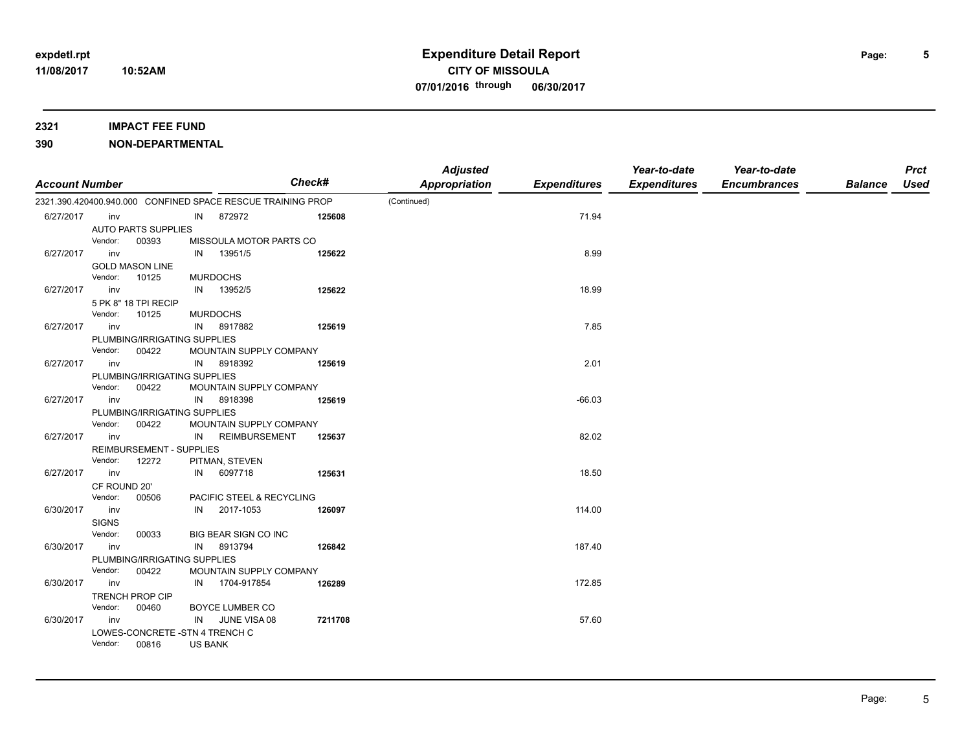## **390 NON-DEPARTMENTAL**

| <b>Account Number</b> |                         |                                 |                |                                                             | Check#  | <b>Adjusted</b><br><b>Appropriation</b> | <b>Expenditures</b> | Year-to-date<br><b>Expenditures</b> | Year-to-date<br><b>Encumbrances</b> | <b>Balance</b> | <b>Prct</b><br><b>Used</b> |
|-----------------------|-------------------------|---------------------------------|----------------|-------------------------------------------------------------|---------|-----------------------------------------|---------------------|-------------------------------------|-------------------------------------|----------------|----------------------------|
|                       |                         |                                 |                | 2321.390.420400.940.000 CONFINED SPACE RESCUE TRAINING PROP |         | (Continued)                             |                     |                                     |                                     |                |                            |
| 6/27/2017             | inv                     |                                 | IN             | 872972                                                      | 125608  |                                         | 71.94               |                                     |                                     |                |                            |
|                       |                         | <b>AUTO PARTS SUPPLIES</b>      |                |                                                             |         |                                         |                     |                                     |                                     |                |                            |
|                       | Vendor:                 | 00393                           |                | MISSOULA MOTOR PARTS CO                                     |         |                                         |                     |                                     |                                     |                |                            |
| 6/27/2017             | inv                     |                                 | IN             | 13951/5                                                     | 125622  |                                         | 8.99                |                                     |                                     |                |                            |
|                       |                         | <b>GOLD MASON LINE</b>          |                |                                                             |         |                                         |                     |                                     |                                     |                |                            |
|                       | Vendor:                 | 10125                           |                | <b>MURDOCHS</b>                                             |         |                                         |                     |                                     |                                     |                |                            |
| 6/27/2017             | inv                     |                                 | IN             | 13952/5                                                     | 125622  |                                         | 18.99               |                                     |                                     |                |                            |
|                       |                         | 5 PK 8" 18 TPI RECIP            |                |                                                             |         |                                         |                     |                                     |                                     |                |                            |
|                       | Vendor:                 | 10125                           |                | <b>MURDOCHS</b>                                             |         |                                         |                     |                                     |                                     |                |                            |
| 6/27/2017             | inv                     |                                 | IN             | 8917882                                                     | 125619  |                                         | 7.85                |                                     |                                     |                |                            |
|                       |                         | PLUMBING/IRRIGATING SUPPLIES    |                |                                                             |         |                                         |                     |                                     |                                     |                |                            |
|                       | Vendor:                 | 00422                           |                | MOUNTAIN SUPPLY COMPANY                                     |         |                                         |                     |                                     |                                     |                |                            |
| 6/27/2017             | inv                     |                                 | IN             | 8918392                                                     | 125619  |                                         | 2.01                |                                     |                                     |                |                            |
|                       |                         | PLUMBING/IRRIGATING SUPPLIES    |                |                                                             |         |                                         |                     |                                     |                                     |                |                            |
|                       | Vendor:                 | 00422                           |                | MOUNTAIN SUPPLY COMPANY                                     |         |                                         |                     |                                     |                                     |                |                            |
| 6/27/2017             | inv                     |                                 | IN             | 8918398                                                     | 125619  |                                         | $-66.03$            |                                     |                                     |                |                            |
|                       |                         | PLUMBING/IRRIGATING SUPPLIES    |                |                                                             |         |                                         |                     |                                     |                                     |                |                            |
|                       | Vendor:                 | 00422                           |                | MOUNTAIN SUPPLY COMPANY                                     |         |                                         |                     |                                     |                                     |                |                            |
| 6/27/2017             | inv                     |                                 | IN             | <b>REIMBURSEMENT</b>                                        | 125637  |                                         | 82.02               |                                     |                                     |                |                            |
|                       |                         | <b>REIMBURSEMENT - SUPPLIES</b> |                |                                                             |         |                                         |                     |                                     |                                     |                |                            |
|                       | Vendor:                 | 12272                           |                | PITMAN, STEVEN                                              |         |                                         |                     |                                     |                                     |                |                            |
| 6/27/2017             | inv                     |                                 | IN             | 6097718                                                     | 125631  |                                         | 18.50               |                                     |                                     |                |                            |
|                       | CF ROUND 20'<br>Vendor: | 00506                           |                |                                                             |         |                                         |                     |                                     |                                     |                |                            |
| 6/30/2017             | inv                     |                                 |                | PACIFIC STEEL & RECYCLING<br>2017-1053                      |         |                                         | 114.00              |                                     |                                     |                |                            |
|                       |                         |                                 | IN             |                                                             | 126097  |                                         |                     |                                     |                                     |                |                            |
|                       | <b>SIGNS</b><br>Vendor: | 00033                           |                | BIG BEAR SIGN CO INC                                        |         |                                         |                     |                                     |                                     |                |                            |
| 6/30/2017             | inv                     |                                 | IN             | 8913794                                                     | 126842  |                                         | 187.40              |                                     |                                     |                |                            |
|                       |                         | PLUMBING/IRRIGATING SUPPLIES    |                |                                                             |         |                                         |                     |                                     |                                     |                |                            |
|                       | Vendor:                 | 00422                           |                | MOUNTAIN SUPPLY COMPANY                                     |         |                                         |                     |                                     |                                     |                |                            |
| 6/30/2017             | inv                     |                                 | IN             | 1704-917854                                                 | 126289  |                                         | 172.85              |                                     |                                     |                |                            |
|                       |                         | <b>TRENCH PROP CIP</b>          |                |                                                             |         |                                         |                     |                                     |                                     |                |                            |
|                       | Vendor:                 | 00460                           |                | BOYCE LUMBER CO                                             |         |                                         |                     |                                     |                                     |                |                            |
| 6/30/2017             | inv                     |                                 | IN             | JUNE VISA 08                                                | 7211708 |                                         | 57.60               |                                     |                                     |                |                            |
|                       |                         | LOWES-CONCRETE - STN 4 TRENCH C |                |                                                             |         |                                         |                     |                                     |                                     |                |                            |
|                       | Vendor:                 | 00816                           | <b>US BANK</b> |                                                             |         |                                         |                     |                                     |                                     |                |                            |

**5**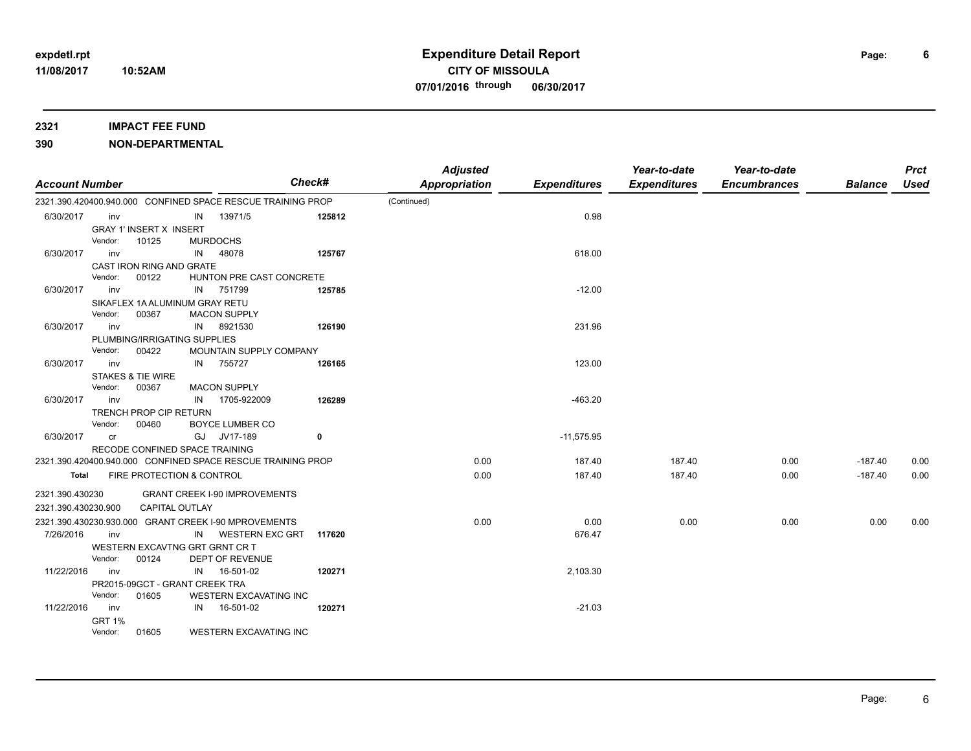| <b>Account Number</b> |               |                                |    |                                                             | Check# | <b>Adjusted</b><br>Appropriation | <b>Expenditures</b> | Year-to-date<br><b>Expenditures</b> | Year-to-date<br><b>Encumbrances</b> | <b>Balance</b> | <b>Prct</b><br><b>Used</b> |
|-----------------------|---------------|--------------------------------|----|-------------------------------------------------------------|--------|----------------------------------|---------------------|-------------------------------------|-------------------------------------|----------------|----------------------------|
|                       |               |                                |    | 2321.390.420400.940.000 CONFINED SPACE RESCUE TRAINING PROP |        | (Continued)                      |                     |                                     |                                     |                |                            |
| 6/30/2017             | inv           |                                | IN | 13971/5                                                     | 125812 |                                  | 0.98                |                                     |                                     |                |                            |
|                       |               | <b>GRAY 1' INSERT X INSERT</b> |    |                                                             |        |                                  |                     |                                     |                                     |                |                            |
|                       | Vendor:       | 10125                          |    | <b>MURDOCHS</b>                                             |        |                                  |                     |                                     |                                     |                |                            |
| 6/30/2017             | inv           |                                | IN | 48078                                                       | 125767 |                                  | 618.00              |                                     |                                     |                |                            |
|                       |               | CAST IRON RING AND GRATE       |    |                                                             |        |                                  |                     |                                     |                                     |                |                            |
|                       | Vendor:       | 00122                          |    | HUNTON PRE CAST CONCRETE                                    |        |                                  |                     |                                     |                                     |                |                            |
| 6/30/2017             | inv           |                                | IN | 751799                                                      | 125785 |                                  | $-12.00$            |                                     |                                     |                |                            |
|                       |               | SIKAFLEX 1A ALUMINUM GRAY RETU |    |                                                             |        |                                  |                     |                                     |                                     |                |                            |
|                       | Vendor:       | 00367                          |    | <b>MACON SUPPLY</b>                                         |        |                                  |                     |                                     |                                     |                |                            |
| 6/30/2017             | inv           |                                | IN | 8921530                                                     | 126190 |                                  | 231.96              |                                     |                                     |                |                            |
|                       |               | PLUMBING/IRRIGATING SUPPLIES   |    |                                                             |        |                                  |                     |                                     |                                     |                |                            |
|                       | Vendor:       | 00422                          |    | MOUNTAIN SUPPLY COMPANY                                     |        |                                  |                     |                                     |                                     |                |                            |
| 6/30/2017             | inv           |                                | IN | 755727                                                      | 126165 |                                  | 123.00              |                                     |                                     |                |                            |
|                       |               | <b>STAKES &amp; TIE WIRE</b>   |    |                                                             |        |                                  |                     |                                     |                                     |                |                            |
|                       | Vendor:       | 00367                          |    | <b>MACON SUPPLY</b>                                         |        |                                  |                     |                                     |                                     |                |                            |
| 6/30/2017             | inv           |                                | IN | 1705-922009                                                 | 126289 |                                  | $-463.20$           |                                     |                                     |                |                            |
|                       |               | TRENCH PROP CIP RETURN         |    |                                                             |        |                                  |                     |                                     |                                     |                |                            |
|                       | Vendor:       | 00460                          |    | <b>BOYCE LUMBER CO</b>                                      |        |                                  |                     |                                     |                                     |                |                            |
| 6/30/2017             | <b>cr</b>     |                                | GJ | JV17-189                                                    | 0      |                                  | $-11,575.95$        |                                     |                                     |                |                            |
|                       |               | RECODE CONFINED SPACE TRAINING |    |                                                             |        |                                  |                     |                                     |                                     |                |                            |
|                       |               |                                |    | 2321.390.420400.940.000 CONFINED SPACE RESCUE TRAINING PROP |        | 0.00                             | 187.40              | 187.40                              | 0.00                                | $-187.40$      | 0.00                       |
| Total                 |               | FIRE PROTECTION & CONTROL      |    |                                                             |        | 0.00                             | 187.40              | 187.40                              | 0.00                                | $-187.40$      | 0.00                       |
| 2321.390.430230       |               |                                |    | <b>GRANT CREEK I-90 IMPROVEMENTS</b>                        |        |                                  |                     |                                     |                                     |                |                            |
| 2321.390.430230.900   |               | <b>CAPITAL OUTLAY</b>          |    |                                                             |        |                                  |                     |                                     |                                     |                |                            |
|                       |               |                                |    | 2321.390.430230.930.000 GRANT CREEK I-90 MPROVEMENTS        |        | 0.00                             | 0.00                | 0.00                                | 0.00                                | 0.00           | 0.00                       |
| 7/26/2016             | inv           |                                | IN | <b>WESTERN EXC GRT</b>                                      | 117620 |                                  | 676.47              |                                     |                                     |                |                            |
|                       |               | WESTERN EXCAVTNG GRT GRNT CR T |    |                                                             |        |                                  |                     |                                     |                                     |                |                            |
|                       | Vendor:       | 00124                          |    | DEPT OF REVENUE                                             |        |                                  |                     |                                     |                                     |                |                            |
| 11/22/2016            | inv           |                                | IN | 16-501-02                                                   | 120271 |                                  | 2,103.30            |                                     |                                     |                |                            |
|                       |               | PR2015-09GCT - GRANT CREEK TRA |    |                                                             |        |                                  |                     |                                     |                                     |                |                            |
|                       | Vendor:       | 01605                          |    | <b>WESTERN EXCAVATING INC</b>                               |        |                                  |                     |                                     |                                     |                |                            |
| 11/22/2016            | inv           |                                | IN | 16-501-02                                                   | 120271 |                                  | $-21.03$            |                                     |                                     |                |                            |
|                       | <b>GRT 1%</b> |                                |    |                                                             |        |                                  |                     |                                     |                                     |                |                            |
|                       | Vendor:       | 01605                          |    | <b>WESTERN EXCAVATING INC</b>                               |        |                                  |                     |                                     |                                     |                |                            |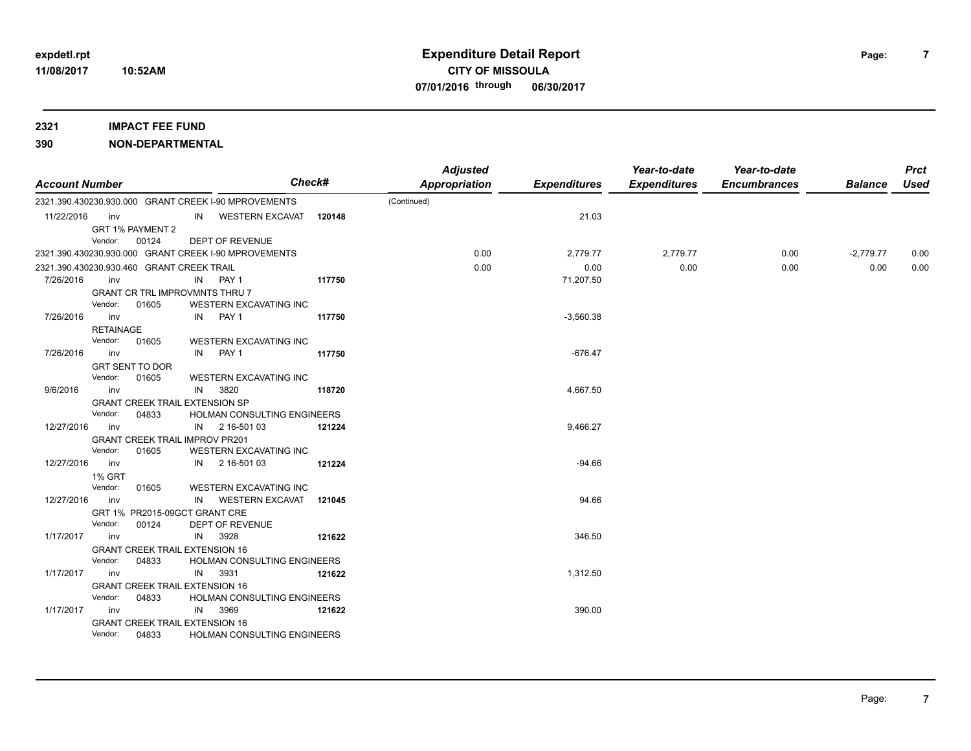| <b>Account Number</b>                     |                  |                                                |    |                                                      | Check# | <b>Adjusted</b><br><b>Appropriation</b> | <b>Expenditures</b> | Year-to-date<br><b>Expenditures</b> | Year-to-date<br><b>Encumbrances</b> | <b>Balance</b> | <b>Prct</b><br><b>Used</b> |
|-------------------------------------------|------------------|------------------------------------------------|----|------------------------------------------------------|--------|-----------------------------------------|---------------------|-------------------------------------|-------------------------------------|----------------|----------------------------|
|                                           |                  |                                                |    | 2321.390.430230.930.000 GRANT CREEK I-90 MPROVEMENTS |        | (Continued)                             |                     |                                     |                                     |                |                            |
| 11/22/2016                                | inv              |                                                |    | IN WESTERN EXCAVAT                                   | 120148 |                                         | 21.03               |                                     |                                     |                |                            |
|                                           |                  | GRT 1% PAYMENT 2                               |    |                                                      |        |                                         |                     |                                     |                                     |                |                            |
|                                           | Vendor:          | 00124                                          |    | <b>DEPT OF REVENUE</b>                               |        |                                         |                     |                                     |                                     |                |                            |
|                                           |                  |                                                |    | 2321.390.430230.930.000 GRANT CREEK I-90 MPROVEMENTS |        | 0.00                                    | 2,779.77            | 2,779.77                            | 0.00                                | $-2,779.77$    | 0.00                       |
| 2321.390.430230.930.460 GRANT CREEK TRAIL |                  |                                                |    |                                                      |        | 0.00                                    | 0.00                | 0.00                                | 0.00                                | 0.00           | 0.00                       |
| 7/26/2016                                 | inv              |                                                |    | IN PAY 1                                             | 117750 |                                         | 71,207.50           |                                     |                                     |                |                            |
|                                           |                  | <b>GRANT CR TRL IMPROVMNTS THRU 7</b>          |    |                                                      |        |                                         |                     |                                     |                                     |                |                            |
|                                           | Vendor:          | 01605                                          |    | WESTERN EXCAVATING INC                               |        |                                         |                     |                                     |                                     |                |                            |
| 7/26/2016                                 | inv              |                                                | IN | PAY <sub>1</sub>                                     | 117750 |                                         | $-3,560.38$         |                                     |                                     |                |                            |
|                                           | <b>RETAINAGE</b> |                                                |    |                                                      |        |                                         |                     |                                     |                                     |                |                            |
|                                           | Vendor:          | 01605                                          |    | WESTERN EXCAVATING INC                               |        |                                         |                     |                                     |                                     |                |                            |
| 7/26/2016                                 | inv              |                                                | IN | PAY 1                                                | 117750 |                                         | $-676.47$           |                                     |                                     |                |                            |
|                                           |                  | <b>GRT SENT TO DOR</b>                         |    |                                                      |        |                                         |                     |                                     |                                     |                |                            |
|                                           | Vendor:          | 01605                                          |    | WESTERN EXCAVATING INC                               |        |                                         |                     |                                     |                                     |                |                            |
| 9/6/2016                                  | inv              |                                                | IN | 3820                                                 | 118720 |                                         | 4,667.50            |                                     |                                     |                |                            |
|                                           |                  | <b>GRANT CREEK TRAIL EXTENSION SP</b>          |    |                                                      |        |                                         |                     |                                     |                                     |                |                            |
|                                           | Vendor:<br>inv   | 04833                                          |    | <b>HOLMAN CONSULTING ENGINEERS</b><br>IN 2 16-501 03 |        |                                         | 9,466.27            |                                     |                                     |                |                            |
| 12/27/2016                                |                  |                                                |    |                                                      | 121224 |                                         |                     |                                     |                                     |                |                            |
|                                           | Vendor:          | <b>GRANT CREEK TRAIL IMPROV PR201</b><br>01605 |    | WESTERN EXCAVATING INC                               |        |                                         |                     |                                     |                                     |                |                            |
| 12/27/2016                                | inv              |                                                |    | IN 2 16-501 03                                       | 121224 |                                         | $-94.66$            |                                     |                                     |                |                            |
|                                           | <b>1% GRT</b>    |                                                |    |                                                      |        |                                         |                     |                                     |                                     |                |                            |
|                                           | Vendor:          | 01605                                          |    | WESTERN EXCAVATING INC                               |        |                                         |                     |                                     |                                     |                |                            |
| 12/27/2016                                | inv              |                                                | IN | <b>WESTERN EXCAVAT</b>                               | 121045 |                                         | 94.66               |                                     |                                     |                |                            |
|                                           |                  | GRT 1% PR2015-09GCT GRANT CRE                  |    |                                                      |        |                                         |                     |                                     |                                     |                |                            |
|                                           | Vendor:          | 00124                                          |    | DEPT OF REVENUE                                      |        |                                         |                     |                                     |                                     |                |                            |
| 1/17/2017                                 | inv              |                                                | IN | 3928                                                 | 121622 |                                         | 346.50              |                                     |                                     |                |                            |
|                                           |                  | <b>GRANT CREEK TRAIL EXTENSION 16</b>          |    |                                                      |        |                                         |                     |                                     |                                     |                |                            |
|                                           | Vendor:          | 04833                                          |    | HOLMAN CONSULTING ENGINEERS                          |        |                                         |                     |                                     |                                     |                |                            |
| 1/17/2017                                 | inv              |                                                | IN | 3931                                                 | 121622 |                                         | 1,312.50            |                                     |                                     |                |                            |
|                                           |                  | <b>GRANT CREEK TRAIL EXTENSION 16</b>          |    |                                                      |        |                                         |                     |                                     |                                     |                |                            |
|                                           | Vendor:          | 04833                                          |    | HOLMAN CONSULTING ENGINEERS                          |        |                                         |                     |                                     |                                     |                |                            |
| 1/17/2017                                 | inv              |                                                | IN | 3969                                                 | 121622 |                                         | 390.00              |                                     |                                     |                |                            |
|                                           |                  | <b>GRANT CREEK TRAIL EXTENSION 16</b>          |    |                                                      |        |                                         |                     |                                     |                                     |                |                            |
|                                           | Vendor:          | 04833                                          |    | HOLMAN CONSULTING ENGINEERS                          |        |                                         |                     |                                     |                                     |                |                            |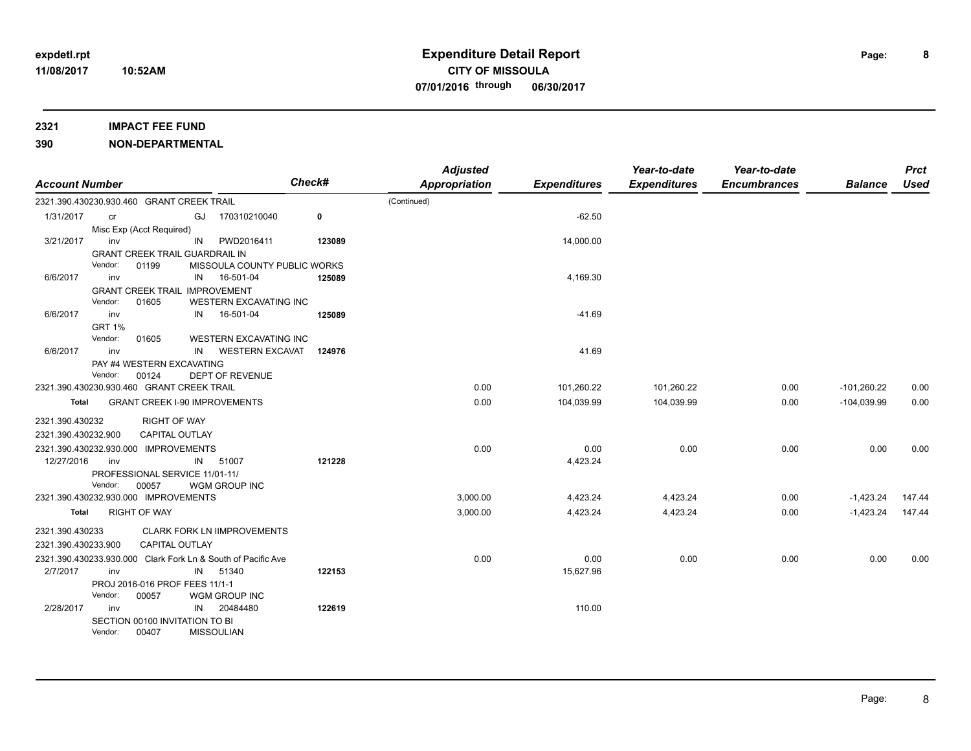### **2321 IMPACT FEE FUND**

| <b>Account Number</b>                     |                                                                                   |                       |                   | <b>Check#</b>                                                |        | <b>Adjusted</b><br>Appropriation | <b>Expenditures</b> | Year-to-date<br><b>Expenditures</b> | Year-to-date<br><b>Encumbrances</b> | <b>Balance</b> | <b>Prct</b><br><b>Used</b> |
|-------------------------------------------|-----------------------------------------------------------------------------------|-----------------------|-------------------|--------------------------------------------------------------|--------|----------------------------------|---------------------|-------------------------------------|-------------------------------------|----------------|----------------------------|
| 2321.390.430230.930.460 GRANT CREEK TRAIL |                                                                                   |                       |                   |                                                              |        | (Continued)                      |                     |                                     |                                     |                |                            |
| 1/31/2017                                 | cr                                                                                |                       | GJ                | 170310210040                                                 | 0      |                                  | $-62.50$            |                                     |                                     |                |                            |
|                                           | Misc Exp (Acct Required)                                                          |                       |                   |                                                              |        |                                  |                     |                                     |                                     |                |                            |
| 3/21/2017                                 | inv                                                                               |                       | IN                | PWD2016411                                                   | 123089 |                                  | 14,000.00           |                                     |                                     |                |                            |
|                                           | <b>GRANT CREEK TRAIL GUARDRAIL IN</b>                                             |                       |                   |                                                              |        |                                  |                     |                                     |                                     |                |                            |
|                                           | Vendor:                                                                           | 01199                 |                   | MISSOULA COUNTY PUBLIC WORKS                                 |        |                                  |                     |                                     |                                     |                |                            |
| 6/6/2017                                  | inv                                                                               |                       | IN                | 16-501-04                                                    | 125089 |                                  | 4,169.30            |                                     |                                     |                |                            |
|                                           | <b>GRANT CREEK TRAIL IMPROVEMENT</b><br>Vendor:                                   | 01605                 |                   | <b>WESTERN EXCAVATING INC</b>                                |        |                                  |                     |                                     |                                     |                |                            |
| 6/6/2017                                  | inv                                                                               |                       | IN                | 16-501-04                                                    | 125089 |                                  | $-41.69$            |                                     |                                     |                |                            |
|                                           | <b>GRT 1%</b>                                                                     |                       |                   |                                                              |        |                                  |                     |                                     |                                     |                |                            |
|                                           | Vendor:                                                                           | 01605                 |                   | <b>WESTERN EXCAVATING INC</b>                                |        |                                  |                     |                                     |                                     |                |                            |
| 6/6/2017                                  | inv                                                                               |                       | IN                | <b>WESTERN EXCAVAT</b>                                       | 124976 |                                  | 41.69               |                                     |                                     |                |                            |
|                                           | PAY #4 WESTERN EXCAVATING                                                         |                       |                   |                                                              |        |                                  |                     |                                     |                                     |                |                            |
|                                           | Vendor:                                                                           | 00124                 |                   | DEPT OF REVENUE                                              |        |                                  |                     |                                     |                                     |                |                            |
|                                           | 2321.390.430230.930.460 GRANT CREEK TRAIL<br><b>GRANT CREEK I-90 IMPROVEMENTS</b> |                       |                   |                                                              |        | 0.00                             | 101,260.22          | 101,260.22                          | 0.00                                | $-101,260.22$  | 0.00                       |
| Total                                     |                                                                                   |                       |                   |                                                              |        | 0.00                             | 104,039.99          | 104,039.99                          | 0.00                                | $-104,039.99$  | 0.00                       |
| 2321.390.430232                           |                                                                                   | <b>RIGHT OF WAY</b>   |                   |                                                              |        |                                  |                     |                                     |                                     |                |                            |
| 2321.390.430232.900                       |                                                                                   | <b>CAPITAL OUTLAY</b> |                   |                                                              |        |                                  |                     |                                     |                                     |                |                            |
| 2321.390.430232.930.000 IMPROVEMENTS      |                                                                                   |                       |                   |                                                              |        | 0.00                             | 0.00                | 0.00                                | 0.00                                | 0.00           | 0.00                       |
| 12/27/2016                                | inv                                                                               |                       | IN                | 51007                                                        | 121228 |                                  | 4,423.24            |                                     |                                     |                |                            |
|                                           | PROFESSIONAL SERVICE 11/01-11/                                                    |                       |                   |                                                              |        |                                  |                     |                                     |                                     |                |                            |
|                                           | Vendor:                                                                           | 00057                 |                   | WGM GROUP INC                                                |        |                                  |                     |                                     |                                     |                |                            |
| 2321.390.430232.930.000 IMPROVEMENTS      |                                                                                   |                       |                   |                                                              |        | 3,000.00                         | 4,423.24            | 4,423.24                            | 0.00                                | $-1,423.24$    | 147.44                     |
| Total                                     |                                                                                   | <b>RIGHT OF WAY</b>   |                   |                                                              |        | 3,000.00                         | 4,423.24            | 4,423.24                            | 0.00                                | $-1,423.24$    | 147.44                     |
| 2321.390.430233                           |                                                                                   |                       |                   | <b>CLARK FORK LN IIMPROVEMENTS</b>                           |        |                                  |                     |                                     |                                     |                |                            |
| 2321.390.430233.900                       |                                                                                   | <b>CAPITAL OUTLAY</b> |                   |                                                              |        |                                  |                     |                                     |                                     |                |                            |
|                                           |                                                                                   |                       |                   | 2321.390.430233.930.000 Clark Fork Ln & South of Pacific Ave |        | 0.00                             | 0.00                | 0.00                                | 0.00                                | 0.00           | 0.00                       |
| 2/7/2017                                  | inv                                                                               |                       | IN                | 51340                                                        | 122153 |                                  | 15,627.96           |                                     |                                     |                |                            |
|                                           | PROJ 2016-016 PROF FEES 11/1-1                                                    |                       |                   |                                                              |        |                                  |                     |                                     |                                     |                |                            |
|                                           | Vendor:                                                                           | 00057                 |                   | WGM GROUP INC                                                |        |                                  |                     |                                     |                                     |                |                            |
| 2/28/2017                                 | inv                                                                               |                       | IN                | 20484480                                                     | 122619 |                                  | 110.00              |                                     |                                     |                |                            |
|                                           | SECTION 00100 INVITATION TO BI                                                    |                       |                   |                                                              |        |                                  |                     |                                     |                                     |                |                            |
|                                           | Vendor:                                                                           | 00407                 | <b>MISSOULIAN</b> |                                                              |        |                                  |                     |                                     |                                     |                |                            |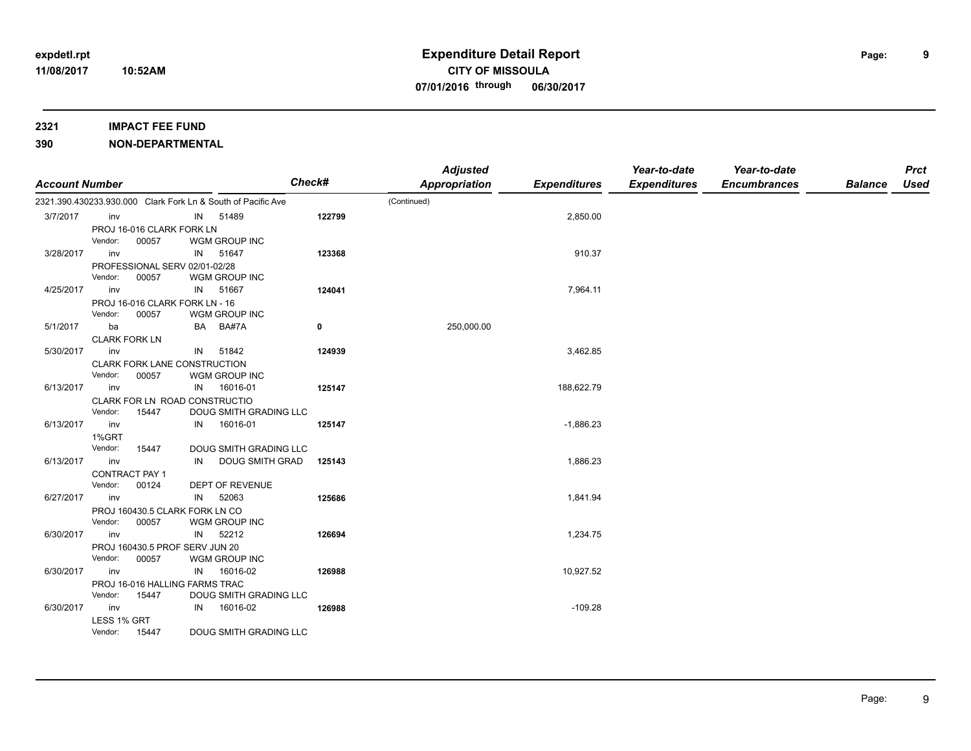| <b>Account Number</b> |                      |                                         |    | Check#                                                       |        | <b>Adjusted</b><br><b>Appropriation</b> | <b>Expenditures</b> | Year-to-date<br><b>Expenditures</b> | Year-to-date<br><b>Encumbrances</b> | <b>Balance</b> | <b>Prct</b><br><b>Used</b> |
|-----------------------|----------------------|-----------------------------------------|----|--------------------------------------------------------------|--------|-----------------------------------------|---------------------|-------------------------------------|-------------------------------------|----------------|----------------------------|
|                       |                      |                                         |    | 2321.390.430233.930.000 Clark Fork Ln & South of Pacific Ave |        | (Continued)                             |                     |                                     |                                     |                |                            |
| 3/7/2017              | inv                  |                                         | IN | 51489                                                        | 122799 |                                         | 2,850.00            |                                     |                                     |                |                            |
|                       |                      | PROJ 16-016 CLARK FORK LN               |    |                                                              |        |                                         |                     |                                     |                                     |                |                            |
|                       | Vendor:              | 00057                                   |    | WGM GROUP INC                                                |        |                                         |                     |                                     |                                     |                |                            |
| 3/28/2017             | inv                  |                                         | IN | 51647                                                        | 123368 |                                         | 910.37              |                                     |                                     |                |                            |
|                       |                      | PROFESSIONAL SERV 02/01-02/28           |    |                                                              |        |                                         |                     |                                     |                                     |                |                            |
|                       | Vendor:              | 00057                                   |    | WGM GROUP INC                                                |        |                                         |                     |                                     |                                     |                |                            |
| 4/25/2017             | inv                  |                                         | IN | 51667                                                        | 124041 |                                         | 7,964.11            |                                     |                                     |                |                            |
|                       |                      | PROJ 16-016 CLARK FORK LN - 16          |    |                                                              |        |                                         |                     |                                     |                                     |                |                            |
|                       | Vendor:              | 00057                                   |    | WGM GROUP INC                                                |        |                                         |                     |                                     |                                     |                |                            |
| 5/1/2017              | ba                   |                                         | BA | BA#7A                                                        | 0      | 250,000.00                              |                     |                                     |                                     |                |                            |
|                       | <b>CLARK FORK LN</b> |                                         |    |                                                              |        |                                         |                     |                                     |                                     |                |                            |
| 5/30/2017             | inv                  |                                         | IN | 51842                                                        | 124939 |                                         | 3,462.85            |                                     |                                     |                |                            |
|                       |                      | CLARK FORK LANE CONSTRUCTION            |    |                                                              |        |                                         |                     |                                     |                                     |                |                            |
|                       | Vendor:              | 00057                                   |    | WGM GROUP INC                                                |        |                                         |                     |                                     |                                     |                |                            |
| 6/13/2017             | inv                  |                                         | IN | 16016-01                                                     | 125147 |                                         | 188,622.79          |                                     |                                     |                |                            |
|                       |                      | CLARK FOR LN ROAD CONSTRUCTIO           |    |                                                              |        |                                         |                     |                                     |                                     |                |                            |
|                       | Vendor:              | 15447                                   |    | DOUG SMITH GRADING LLC                                       |        |                                         |                     |                                     |                                     |                |                            |
| 6/13/2017             | inv                  |                                         | IN | 16016-01                                                     | 125147 |                                         | $-1,886.23$         |                                     |                                     |                |                            |
|                       | 1%GRT                |                                         |    |                                                              |        |                                         |                     |                                     |                                     |                |                            |
|                       | Vendor:              | 15447                                   |    | DOUG SMITH GRADING LLC                                       |        |                                         |                     |                                     |                                     |                |                            |
| 6/13/2017             | inv                  |                                         | IN | DOUG SMITH GRAD                                              | 125143 |                                         | 1,886.23            |                                     |                                     |                |                            |
|                       |                      | <b>CONTRACT PAY 1</b>                   |    |                                                              |        |                                         |                     |                                     |                                     |                |                            |
| 6/27/2017             | Vendor:<br>inv       | 00124                                   |    | DEPT OF REVENUE<br>52063                                     |        |                                         | 1,841.94            |                                     |                                     |                |                            |
|                       |                      |                                         | IN |                                                              | 125686 |                                         |                     |                                     |                                     |                |                            |
|                       | Vendor:              | PROJ 160430.5 CLARK FORK LN CO<br>00057 |    | WGM GROUP INC                                                |        |                                         |                     |                                     |                                     |                |                            |
| 6/30/2017             | inv                  |                                         | IN | 52212                                                        | 126694 |                                         | 1,234.75            |                                     |                                     |                |                            |
|                       |                      | PROJ 160430.5 PROF SERV JUN 20          |    |                                                              |        |                                         |                     |                                     |                                     |                |                            |
|                       | Vendor:              | 00057                                   |    | WGM GROUP INC                                                |        |                                         |                     |                                     |                                     |                |                            |
| 6/30/2017             | inv                  |                                         | IN | 16016-02                                                     | 126988 |                                         | 10,927.52           |                                     |                                     |                |                            |
|                       |                      | PROJ 16-016 HALLING FARMS TRAC          |    |                                                              |        |                                         |                     |                                     |                                     |                |                            |
|                       | Vendor:              | 15447                                   |    | DOUG SMITH GRADING LLC                                       |        |                                         |                     |                                     |                                     |                |                            |
| 6/30/2017             | inv                  |                                         | IN | 16016-02                                                     | 126988 |                                         | $-109.28$           |                                     |                                     |                |                            |
|                       | LESS 1% GRT          |                                         |    |                                                              |        |                                         |                     |                                     |                                     |                |                            |
|                       | Vendor:              | 15447                                   |    | DOUG SMITH GRADING LLC                                       |        |                                         |                     |                                     |                                     |                |                            |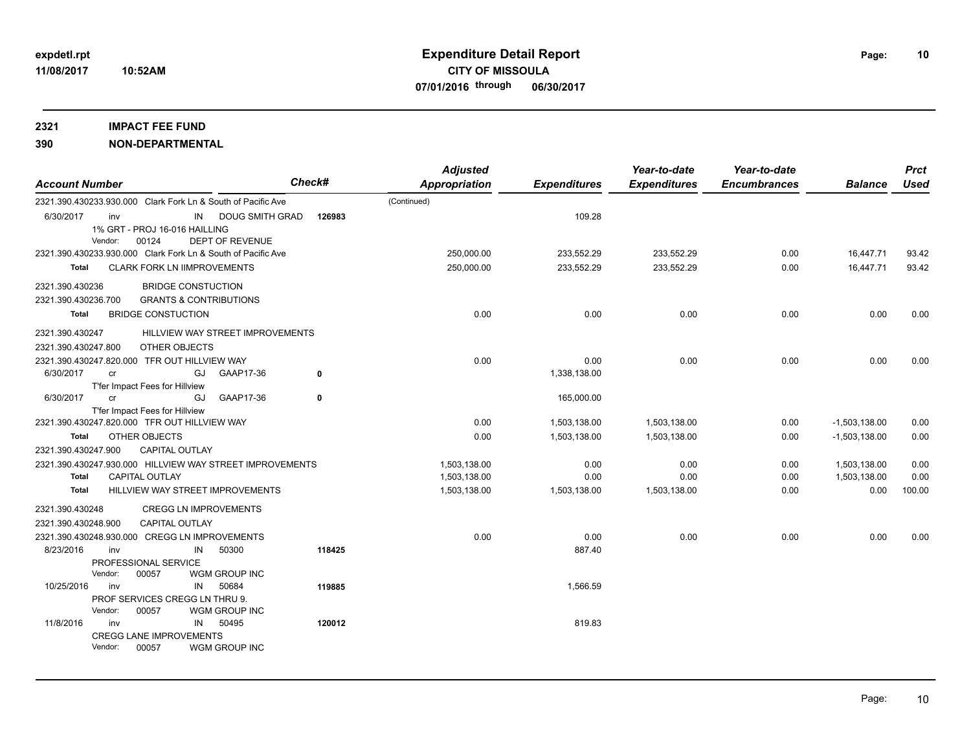| <b>Account Number</b>                                                                                                 | <b>Check#</b> | <b>Adjusted</b><br><b>Appropriation</b> | <b>Expenditures</b> | Year-to-date<br><b>Expenditures</b> | Year-to-date<br><b>Encumbrances</b> | <b>Balance</b>  | <b>Prct</b><br>Used |
|-----------------------------------------------------------------------------------------------------------------------|---------------|-----------------------------------------|---------------------|-------------------------------------|-------------------------------------|-----------------|---------------------|
| 2321.390.430233.930.000 Clark Fork Ln & South of Pacific Ave                                                          |               | (Continued)                             |                     |                                     |                                     |                 |                     |
| 6/30/2017<br>IN DOUG SMITH GRAD<br>inv<br>1% GRT - PROJ 16-016 HAILLING<br>Vendor:<br>00124<br><b>DEPT OF REVENUE</b> | 126983        |                                         | 109.28              |                                     |                                     |                 |                     |
| 2321.390.430233.930.000 Clark Fork Ln & South of Pacific Ave                                                          |               | 250,000.00                              | 233,552.29          | 233,552.29                          | 0.00                                | 16,447.71       | 93.42               |
| <b>CLARK FORK LN IIMPROVEMENTS</b><br>Total                                                                           |               | 250,000.00                              | 233,552.29          | 233,552.29                          | 0.00                                | 16,447.71       | 93.42               |
| 2321.390.430236<br><b>BRIDGE CONSTUCTION</b>                                                                          |               |                                         |                     |                                     |                                     |                 |                     |
| 2321.390.430236.700<br><b>GRANTS &amp; CONTRIBUTIONS</b>                                                              |               |                                         |                     |                                     |                                     |                 |                     |
| Total<br><b>BRIDGE CONSTUCTION</b>                                                                                    |               | 0.00                                    | 0.00                | 0.00                                | 0.00                                | 0.00            | 0.00                |
| HILLVIEW WAY STREET IMPROVEMENTS<br>2321.390.430247                                                                   |               |                                         |                     |                                     |                                     |                 |                     |
| OTHER OBJECTS<br>2321.390.430247.800                                                                                  |               |                                         |                     |                                     |                                     |                 |                     |
| 2321.390.430247.820.000 TFR OUT HILLVIEW WAY                                                                          |               | 0.00                                    | 0.00                | 0.00                                | 0.00                                | 0.00            | 0.00                |
| 6/30/2017<br>GJ<br>GAAP17-36<br>cr                                                                                    | 0             |                                         | 1,338,138.00        |                                     |                                     |                 |                     |
| T'fer Impact Fees for Hillview                                                                                        |               |                                         |                     |                                     |                                     |                 |                     |
| 6/30/2017<br>GAAP17-36<br>GJ<br><b>cr</b>                                                                             | 0             |                                         | 165,000.00          |                                     |                                     |                 |                     |
| T'fer Impact Fees for Hillview<br>2321.390.430247.820.000 TFR OUT HILLVIEW WAY                                        |               | 0.00                                    | 1,503,138.00        | 1,503,138.00                        | 0.00                                | $-1,503,138.00$ | 0.00                |
| OTHER OBJECTS<br>Total                                                                                                |               | 0.00                                    | 1,503,138.00        | 1,503,138.00                        | 0.00                                | $-1,503,138.00$ | 0.00                |
| 2321.390.430247.900<br><b>CAPITAL OUTLAY</b>                                                                          |               |                                         |                     |                                     |                                     |                 |                     |
| 2321.390.430247.930.000 HILLVIEW WAY STREET IMPROVEMENTS                                                              |               | 1,503,138.00                            | 0.00                | 0.00                                | 0.00                                | 1,503,138.00    | 0.00                |
| <b>CAPITAL OUTLAY</b><br>Total                                                                                        |               | 1,503,138.00                            | 0.00                | 0.00                                | 0.00                                | 1,503,138.00    | 0.00                |
| HILLVIEW WAY STREET IMPROVEMENTS<br>Total                                                                             |               | 1,503,138.00                            | 1,503,138.00        | 1,503,138.00                        | 0.00                                | 0.00            | 100.00              |
| 2321.390.430248<br><b>CREGG LN IMPROVEMENTS</b>                                                                       |               |                                         |                     |                                     |                                     |                 |                     |
| <b>CAPITAL OUTLAY</b><br>2321.390.430248.900                                                                          |               |                                         |                     |                                     |                                     |                 |                     |
| 2321.390.430248.930.000 CREGG LN IMPROVEMENTS                                                                         |               | 0.00                                    | 0.00                | 0.00                                | 0.00                                | 0.00            | 0.00                |
| 8/23/2016<br>50300<br>inv<br>IN                                                                                       | 118425        |                                         | 887.40              |                                     |                                     |                 |                     |
| PROFESSIONAL SERVICE<br>Vendor:<br>WGM GROUP INC<br>00057                                                             |               |                                         |                     |                                     |                                     |                 |                     |
| 10/25/2016<br>50684<br>inv<br>IN                                                                                      | 119885        |                                         | 1,566.59            |                                     |                                     |                 |                     |
| PROF SERVICES CREGG LN THRU 9.                                                                                        |               |                                         |                     |                                     |                                     |                 |                     |
| Vendor:<br>00057<br>WGM GROUP INC                                                                                     |               |                                         |                     |                                     |                                     |                 |                     |
| 11/8/2016<br>50495<br>inv<br>IN                                                                                       | 120012        |                                         | 819.83              |                                     |                                     |                 |                     |
| <b>CREGG LANE IMPROVEMENTS</b><br>Vendor:<br>00057<br>WGM GROUP INC                                                   |               |                                         |                     |                                     |                                     |                 |                     |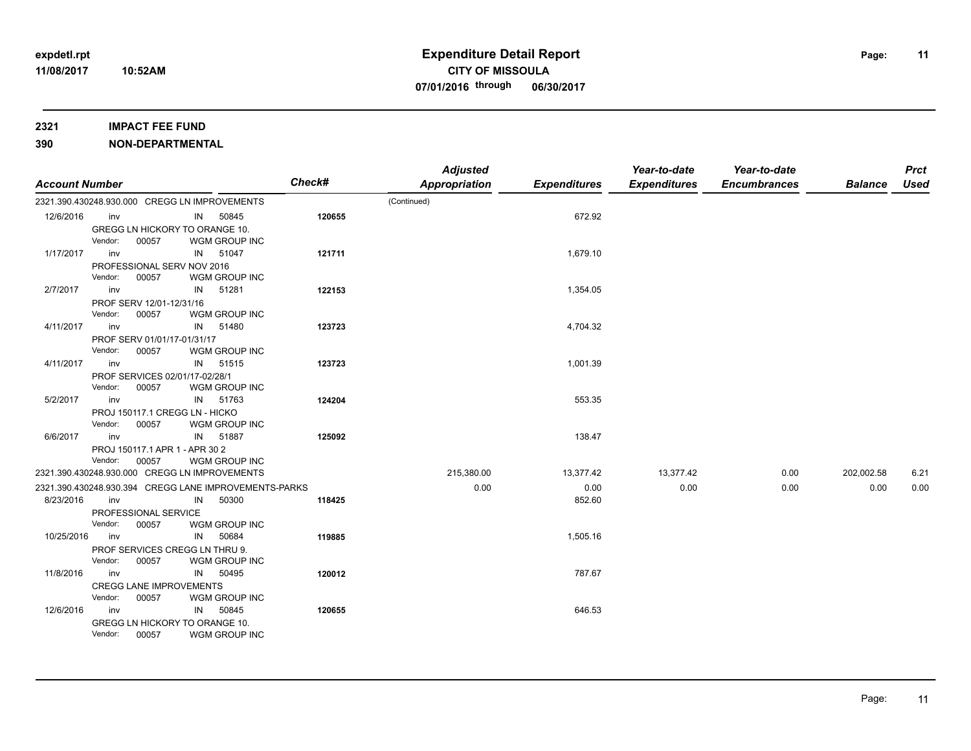#### **2321 IMPACT FEE FUND**

| <b>Account Number</b> |         |                                |    |                                                       | <b>Check#</b> | <b>Adjusted</b><br><b>Appropriation</b> | <b>Expenditures</b> | Year-to-date<br><b>Expenditures</b> | Year-to-date<br><b>Encumbrances</b> | <b>Balance</b> | <b>Prct</b><br>Used |
|-----------------------|---------|--------------------------------|----|-------------------------------------------------------|---------------|-----------------------------------------|---------------------|-------------------------------------|-------------------------------------|----------------|---------------------|
|                       |         |                                |    | 2321.390.430248.930.000 CREGG LN IMPROVEMENTS         |               | (Continued)                             |                     |                                     |                                     |                |                     |
| 12/6/2016             | inv     |                                |    | IN 50845                                              | 120655        |                                         | 672.92              |                                     |                                     |                |                     |
|                       |         | GREGG LN HICKORY TO ORANGE 10. |    |                                                       |               |                                         |                     |                                     |                                     |                |                     |
|                       | Vendor: | 00057                          |    | WGM GROUP INC                                         |               |                                         |                     |                                     |                                     |                |                     |
| 1/17/2017             | inv     |                                | IN | 51047                                                 | 121711        |                                         | 1,679.10            |                                     |                                     |                |                     |
|                       |         | PROFESSIONAL SERV NOV 2016     |    |                                                       |               |                                         |                     |                                     |                                     |                |                     |
|                       | Vendor: | 00057                          |    | WGM GROUP INC                                         |               |                                         |                     |                                     |                                     |                |                     |
| 2/7/2017              | inv     |                                | IN | 51281                                                 | 122153        |                                         | 1,354.05            |                                     |                                     |                |                     |
|                       |         | PROF SERV 12/01-12/31/16       |    |                                                       |               |                                         |                     |                                     |                                     |                |                     |
|                       | Vendor: | 00057                          |    | WGM GROUP INC                                         |               |                                         |                     |                                     |                                     |                |                     |
| 4/11/2017             | inv     |                                | IN | 51480                                                 | 123723        |                                         | 4,704.32            |                                     |                                     |                |                     |
|                       |         | PROF SERV 01/01/17-01/31/17    |    |                                                       |               |                                         |                     |                                     |                                     |                |                     |
|                       | Vendor: | 00057                          |    | WGM GROUP INC                                         |               |                                         |                     |                                     |                                     |                |                     |
| 4/11/2017             | inv     |                                | IN | 51515                                                 | 123723        |                                         | 1,001.39            |                                     |                                     |                |                     |
|                       |         | PROF SERVICES 02/01/17-02/28/1 |    |                                                       |               |                                         |                     |                                     |                                     |                |                     |
|                       | Vendor: | 00057                          |    | WGM GROUP INC                                         |               |                                         |                     |                                     |                                     |                |                     |
| 5/2/2017              | inv     |                                | IN | 51763                                                 | 124204        |                                         | 553.35              |                                     |                                     |                |                     |
|                       |         | PROJ 150117.1 CREGG LN - HICKO |    |                                                       |               |                                         |                     |                                     |                                     |                |                     |
|                       | Vendor: | 00057                          |    | WGM GROUP INC                                         |               |                                         |                     |                                     |                                     |                |                     |
| 6/6/2017              | inv     |                                |    | IN 51887                                              | 125092        |                                         | 138.47              |                                     |                                     |                |                     |
|                       |         | PROJ 150117.1 APR 1 - APR 30 2 |    |                                                       |               |                                         |                     |                                     |                                     |                |                     |
|                       | Vendor: | 00057                          |    | WGM GROUP INC                                         |               |                                         |                     |                                     |                                     |                |                     |
|                       |         |                                |    | 2321.390.430248.930.000 CREGG LN IMPROVEMENTS         |               | 215,380.00                              | 13,377.42           | 13,377.42                           | 0.00                                | 202,002.58     | 6.21                |
|                       |         |                                |    | 2321.390.430248.930.394 CREGG LANE IMPROVEMENTS-PARKS |               | 0.00                                    | 0.00                | 0.00                                | 0.00                                | 0.00           | 0.00                |
| 8/23/2016             | inv     |                                | IN | 50300                                                 | 118425        |                                         | 852.60              |                                     |                                     |                |                     |
|                       |         | PROFESSIONAL SERVICE           |    |                                                       |               |                                         |                     |                                     |                                     |                |                     |
|                       | Vendor: | 00057                          |    | WGM GROUP INC                                         |               |                                         |                     |                                     |                                     |                |                     |
| 10/25/2016            | inv     |                                | IN | 50684                                                 | 119885        |                                         | 1,505.16            |                                     |                                     |                |                     |
|                       |         | PROF SERVICES CREGG LN THRU 9. |    |                                                       |               |                                         |                     |                                     |                                     |                |                     |
|                       | Vendor: | 00057                          |    | WGM GROUP INC                                         |               |                                         |                     |                                     |                                     |                |                     |
| 11/8/2016             | inv     |                                | IN | 50495                                                 | 120012        |                                         | 787.67              |                                     |                                     |                |                     |
|                       |         | <b>CREGG LANE IMPROVEMENTS</b> |    |                                                       |               |                                         |                     |                                     |                                     |                |                     |
|                       | Vendor: | 00057                          |    | WGM GROUP INC                                         |               |                                         |                     |                                     |                                     |                |                     |
| 12/6/2016             | inv     |                                | IN | 50845                                                 | 120655        |                                         | 646.53              |                                     |                                     |                |                     |
|                       |         | GREGG LN HICKORY TO ORANGE 10. |    |                                                       |               |                                         |                     |                                     |                                     |                |                     |
|                       | Vendor: | 00057                          |    | WGM GROUP INC                                         |               |                                         |                     |                                     |                                     |                |                     |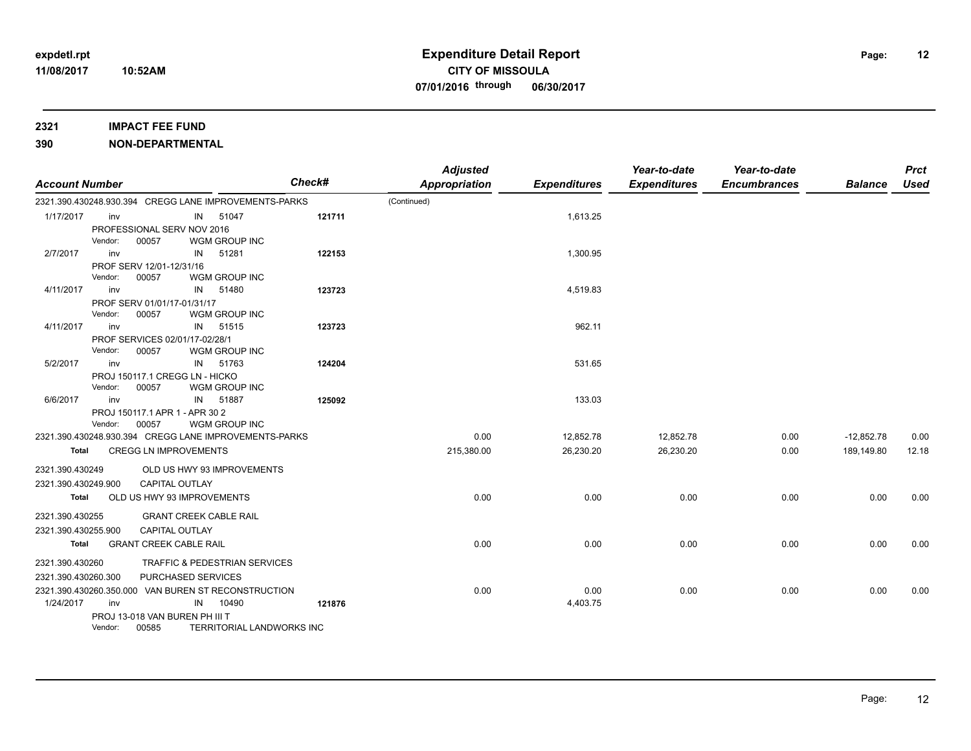### **2321 IMPACT FEE FUND**

| <b>Account Number</b> |         |                                         |    |                                                       | <b>Check#</b> | <b>Adjusted</b><br><b>Appropriation</b> | <b>Expenditures</b> | Year-to-date<br><b>Expenditures</b> | Year-to-date<br><b>Encumbrances</b> | <b>Balance</b> | <b>Prct</b><br><b>Used</b> |
|-----------------------|---------|-----------------------------------------|----|-------------------------------------------------------|---------------|-----------------------------------------|---------------------|-------------------------------------|-------------------------------------|----------------|----------------------------|
|                       |         |                                         |    | 2321.390.430248.930.394 CREGG LANE IMPROVEMENTS-PARKS |               | (Continued)                             |                     |                                     |                                     |                |                            |
| 1/17/2017             | inv     |                                         | IN | 51047                                                 | 121711        |                                         | 1,613.25            |                                     |                                     |                |                            |
|                       |         | PROFESSIONAL SERV NOV 2016              |    |                                                       |               |                                         |                     |                                     |                                     |                |                            |
|                       | Vendor: | 00057                                   |    | WGM GROUP INC                                         |               |                                         |                     |                                     |                                     |                |                            |
| 2/7/2017              | inv     |                                         | IN | 51281                                                 | 122153        |                                         | 1,300.95            |                                     |                                     |                |                            |
|                       |         | PROF SERV 12/01-12/31/16                |    |                                                       |               |                                         |                     |                                     |                                     |                |                            |
|                       | Vendor: | 00057                                   |    | WGM GROUP INC                                         |               |                                         |                     |                                     |                                     |                |                            |
| 4/11/2017             | inv     |                                         | IN | 51480                                                 | 123723        |                                         | 4,519.83            |                                     |                                     |                |                            |
|                       |         | PROF SERV 01/01/17-01/31/17             |    |                                                       |               |                                         |                     |                                     |                                     |                |                            |
|                       | Vendor: | 00057                                   |    | WGM GROUP INC                                         |               |                                         |                     |                                     |                                     |                |                            |
| 4/11/2017             | inv     |                                         | IN | 51515                                                 | 123723        |                                         | 962.11              |                                     |                                     |                |                            |
|                       |         | PROF SERVICES 02/01/17-02/28/1          |    |                                                       |               |                                         |                     |                                     |                                     |                |                            |
|                       | Vendor: | 00057                                   |    | WGM GROUP INC                                         |               |                                         |                     |                                     |                                     |                |                            |
| 5/2/2017              | inv     |                                         | IN | 51763                                                 | 124204        |                                         | 531.65              |                                     |                                     |                |                            |
|                       | Vendor: | PROJ 150117.1 CREGG LN - HICKO<br>00057 |    | WGM GROUP INC                                         |               |                                         |                     |                                     |                                     |                |                            |
| 6/6/2017              | inv     |                                         | IN | 51887                                                 | 125092        |                                         | 133.03              |                                     |                                     |                |                            |
|                       |         | PROJ 150117.1 APR 1 - APR 30 2          |    |                                                       |               |                                         |                     |                                     |                                     |                |                            |
|                       | Vendor: | 00057                                   |    | WGM GROUP INC                                         |               |                                         |                     |                                     |                                     |                |                            |
|                       |         |                                         |    | 2321.390.430248.930.394 CREGG LANE IMPROVEMENTS-PARKS |               | 0.00                                    | 12,852.78           | 12,852.78                           | 0.00                                | $-12,852.78$   | 0.00                       |
| Total                 |         | <b>CREGG LN IMPROVEMENTS</b>            |    |                                                       |               | 215,380.00                              | 26,230.20           | 26,230.20                           | 0.00                                | 189,149.80     | 12.18                      |
|                       |         |                                         |    |                                                       |               |                                         |                     |                                     |                                     |                |                            |
| 2321.390.430249       |         |                                         |    | OLD US HWY 93 IMPROVEMENTS                            |               |                                         |                     |                                     |                                     |                |                            |
| 2321.390.430249.900   |         | <b>CAPITAL OUTLAY</b>                   |    |                                                       |               |                                         |                     |                                     |                                     |                |                            |
| Total                 |         | OLD US HWY 93 IMPROVEMENTS              |    |                                                       |               | 0.00                                    | 0.00                | 0.00                                | 0.00                                | 0.00           | 0.00                       |
| 2321.390.430255       |         |                                         |    | <b>GRANT CREEK CABLE RAIL</b>                         |               |                                         |                     |                                     |                                     |                |                            |
| 2321.390.430255.900   |         | <b>CAPITAL OUTLAY</b>                   |    |                                                       |               |                                         |                     |                                     |                                     |                |                            |
| Total                 |         | <b>GRANT CREEK CABLE RAIL</b>           |    |                                                       |               | 0.00                                    | 0.00                | 0.00                                | 0.00                                | 0.00           | 0.00                       |
|                       |         |                                         |    |                                                       |               |                                         |                     |                                     |                                     |                |                            |
| 2321.390.430260       |         |                                         |    | <b>TRAFFIC &amp; PEDESTRIAN SERVICES</b>              |               |                                         |                     |                                     |                                     |                |                            |
| 2321.390.430260.300   |         | PURCHASED SERVICES                      |    |                                                       |               |                                         |                     |                                     |                                     |                |                            |
|                       |         |                                         |    | 2321.390.430260.350.000 VAN BUREN ST RECONSTRUCTION   |               | 0.00                                    | 0.00                | 0.00                                | 0.00                                | 0.00           | 0.00                       |
| 1/24/2017             | inv     |                                         | IN | 10490                                                 | 121876        |                                         | 4,403.75            |                                     |                                     |                |                            |
|                       |         | PROJ 13-018 VAN BUREN PH III T          |    |                                                       |               |                                         |                     |                                     |                                     |                |                            |
|                       | Vendor: | 00585                                   |    | TERRITORIAL LANDWORKS INC                             |               |                                         |                     |                                     |                                     |                |                            |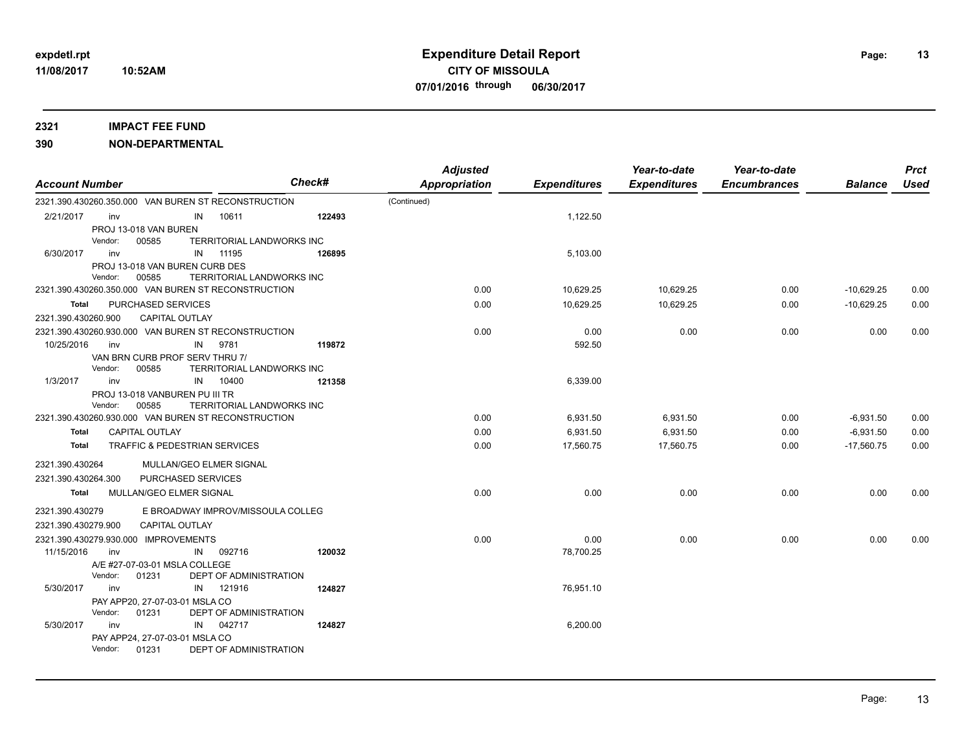| <b>Account Number</b> |                                       |                                                     | <b>Check#</b> | <b>Adjusted</b><br><b>Appropriation</b> | <b>Expenditures</b> | Year-to-date<br><b>Expenditures</b> | Year-to-date<br><b>Encumbrances</b> | <b>Balance</b> | <b>Prct</b><br>Used |
|-----------------------|---------------------------------------|-----------------------------------------------------|---------------|-----------------------------------------|---------------------|-------------------------------------|-------------------------------------|----------------|---------------------|
|                       |                                       | 2321.390.430260.350.000 VAN BUREN ST RECONSTRUCTION |               | (Continued)                             |                     |                                     |                                     |                |                     |
| 2/21/2017             | inv                                   | 10611<br>IN                                         | 122493        |                                         | 1,122.50            |                                     |                                     |                |                     |
|                       | PROJ 13-018 VAN BUREN                 |                                                     |               |                                         |                     |                                     |                                     |                |                     |
|                       | Vendor:<br>00585                      | TERRITORIAL LANDWORKS INC                           |               |                                         |                     |                                     |                                     |                |                     |
| 6/30/2017             | inv                                   | 11195<br>IN                                         | 126895        |                                         | 5,103.00            |                                     |                                     |                |                     |
|                       | PROJ 13-018 VAN BUREN CURB DES        |                                                     |               |                                         |                     |                                     |                                     |                |                     |
|                       | Vendor:<br>00585                      | TERRITORIAL LANDWORKS INC                           |               |                                         |                     |                                     |                                     |                |                     |
|                       |                                       | 2321.390.430260.350.000 VAN BUREN ST RECONSTRUCTION |               | 0.00                                    | 10,629.25           | 10,629.25                           | 0.00                                | $-10,629.25$   | 0.00                |
| Total                 | PURCHASED SERVICES                    |                                                     |               | 0.00                                    | 10,629.25           | 10,629.25                           | 0.00                                | $-10,629.25$   | 0.00                |
| 2321.390.430260.900   |                                       | <b>CAPITAL OUTLAY</b>                               |               |                                         |                     |                                     |                                     |                |                     |
|                       |                                       | 2321.390.430260.930.000 VAN BUREN ST RECONSTRUCTION |               | 0.00                                    | 0.00                | 0.00                                | 0.00                                | 0.00           | 0.00                |
| 10/25/2016            | inv                                   | 9781<br>IN                                          | 119872        |                                         | 592.50              |                                     |                                     |                |                     |
|                       | VAN BRN CURB PROF SERV THRU 7/        |                                                     |               |                                         |                     |                                     |                                     |                |                     |
|                       | Vendor:<br>00585                      | TERRITORIAL LANDWORKS INC                           |               |                                         |                     |                                     |                                     |                |                     |
| 1/3/2017              | inv<br>PROJ 13-018 VANBUREN PU III TR | 10400<br>IN                                         | 121358        |                                         | 6,339.00            |                                     |                                     |                |                     |
|                       | Vendor:<br>00585                      | TERRITORIAL LANDWORKS INC                           |               |                                         |                     |                                     |                                     |                |                     |
|                       |                                       | 2321.390.430260.930.000 VAN BUREN ST RECONSTRUCTION |               | 0.00                                    | 6,931.50            | 6,931.50                            | 0.00                                | $-6,931.50$    | 0.00                |
| Total                 | <b>CAPITAL OUTLAY</b>                 |                                                     |               | 0.00                                    | 6,931.50            | 6,931.50                            | 0.00                                | $-6,931.50$    | 0.00                |
| Total                 |                                       | <b>TRAFFIC &amp; PEDESTRIAN SERVICES</b>            |               | 0.00                                    | 17,560.75           | 17,560.75                           | 0.00                                | $-17,560.75$   | 0.00                |
|                       |                                       |                                                     |               |                                         |                     |                                     |                                     |                |                     |
| 2321.390.430264       |                                       | MULLAN/GEO ELMER SIGNAL                             |               |                                         |                     |                                     |                                     |                |                     |
| 2321.390.430264.300   |                                       | PURCHASED SERVICES                                  |               |                                         |                     |                                     |                                     |                |                     |
| Total                 | MULLAN/GEO ELMER SIGNAL               |                                                     |               | 0.00                                    | 0.00                | 0.00                                | 0.00                                | 0.00           | 0.00                |
| 2321.390.430279       |                                       | E BROADWAY IMPROV/MISSOULA COLLEG                   |               |                                         |                     |                                     |                                     |                |                     |
| 2321.390.430279.900   |                                       | <b>CAPITAL OUTLAY</b>                               |               |                                         |                     |                                     |                                     |                |                     |
|                       | 2321.390.430279.930.000 IMPROVEMENTS  |                                                     |               | 0.00                                    | 0.00                | 0.00                                | 0.00                                | 0.00           | 0.00                |
| 11/15/2016            | inv                                   | 092716<br>IN                                        | 120032        |                                         | 78,700.25           |                                     |                                     |                |                     |
|                       | A/E #27-07-03-01 MSLA COLLEGE         |                                                     |               |                                         |                     |                                     |                                     |                |                     |
|                       | Vendor:<br>01231                      | DEPT OF ADMINISTRATION                              |               |                                         |                     |                                     |                                     |                |                     |
| 5/30/2017             | inv                                   | 121916<br>IN                                        | 124827        |                                         | 76,951.10           |                                     |                                     |                |                     |
|                       | PAY APP20, 27-07-03-01 MSLA CO        |                                                     |               |                                         |                     |                                     |                                     |                |                     |
|                       | Vendor:<br>01231                      | DEPT OF ADMINISTRATION                              |               |                                         |                     |                                     |                                     |                |                     |
| 5/30/2017             | inv                                   | 042717<br>IN                                        | 124827        |                                         | 6,200.00            |                                     |                                     |                |                     |
|                       | PAY APP24, 27-07-03-01 MSLA CO        |                                                     |               |                                         |                     |                                     |                                     |                |                     |
|                       | 01231<br>Vendor:                      | DEPT OF ADMINISTRATION                              |               |                                         |                     |                                     |                                     |                |                     |
|                       |                                       |                                                     |               |                                         |                     |                                     |                                     |                |                     |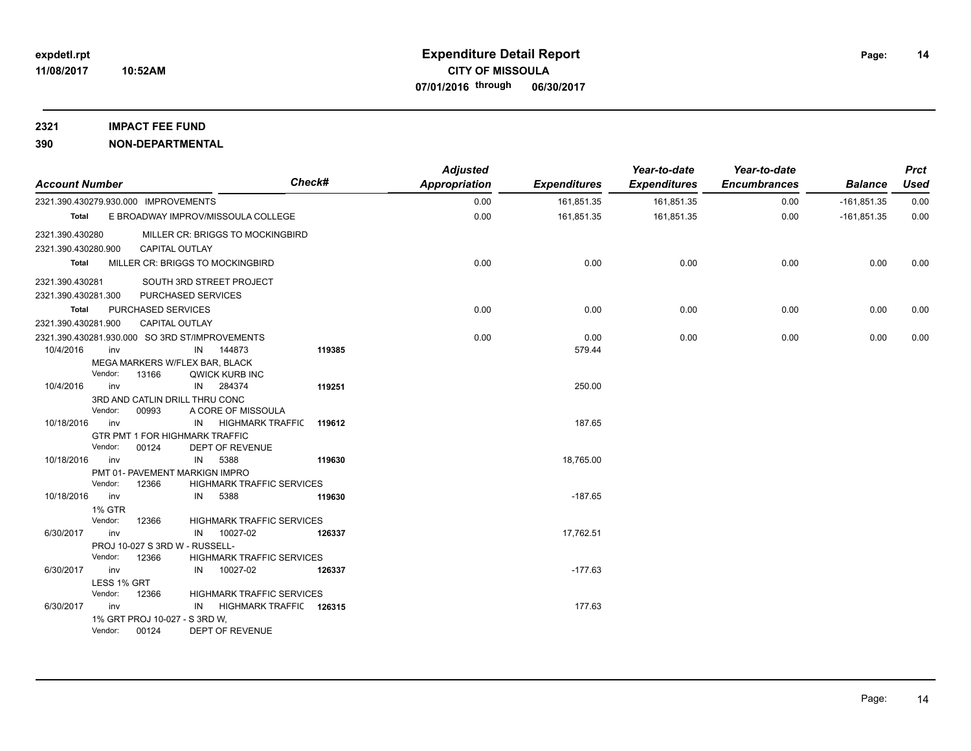### **2321 IMPACT FEE FUND**

| <b>Account Number</b>                |                |                                        |    |                                                | Check# | <b>Adjusted</b><br><b>Appropriation</b> | <b>Expenditures</b> | Year-to-date<br><b>Expenditures</b> | Year-to-date<br><b>Encumbrances</b> | <b>Balance</b> | <b>Prct</b><br><b>Used</b> |
|--------------------------------------|----------------|----------------------------------------|----|------------------------------------------------|--------|-----------------------------------------|---------------------|-------------------------------------|-------------------------------------|----------------|----------------------------|
| 2321.390.430279.930.000 IMPROVEMENTS |                |                                        |    |                                                |        | 0.00                                    | 161,851.35          | 161,851.35                          | 0.00                                | $-161,851.35$  | 0.00                       |
| Total                                |                |                                        |    | E BROADWAY IMPROV/MISSOULA COLLEGE             |        | 0.00                                    | 161,851.35          | 161,851.35                          | 0.00                                | $-161,851.35$  | 0.00                       |
| 2321.390.430280                      |                |                                        |    | MILLER CR: BRIGGS TO MOCKINGBIRD               |        |                                         |                     |                                     |                                     |                |                            |
| 2321.390.430280.900                  |                | <b>CAPITAL OUTLAY</b>                  |    |                                                |        |                                         |                     |                                     |                                     |                |                            |
| Total                                |                |                                        |    | MILLER CR: BRIGGS TO MOCKINGBIRD               |        | 0.00                                    | 0.00                | 0.00                                | 0.00                                | 0.00           | 0.00                       |
| 2321.390.430281                      |                |                                        |    | SOUTH 3RD STREET PROJECT                       |        |                                         |                     |                                     |                                     |                |                            |
| 2321.390.430281.300                  |                | PURCHASED SERVICES                     |    |                                                |        |                                         |                     |                                     |                                     |                |                            |
| Total                                |                | PURCHASED SERVICES                     |    |                                                |        | 0.00                                    | 0.00                | 0.00                                | 0.00                                | 0.00           | 0.00                       |
| 2321.390.430281.900                  |                | <b>CAPITAL OUTLAY</b>                  |    |                                                |        |                                         |                     |                                     |                                     |                |                            |
|                                      |                |                                        |    | 2321.390.430281.930.000 SO 3RD ST/IMPROVEMENTS |        | 0.00                                    | 0.00                | 0.00                                | 0.00                                | 0.00           | 0.00                       |
| 10/4/2016                            | inv            |                                        |    | IN 144873                                      | 119385 |                                         | 579.44              |                                     |                                     |                |                            |
|                                      |                | MEGA MARKERS W/FLEX BAR, BLACK         |    |                                                |        |                                         |                     |                                     |                                     |                |                            |
|                                      | Vendor:        | 13166                                  |    | QWICK KURB INC                                 |        |                                         |                     |                                     |                                     |                |                            |
| 10/4/2016                            | inv            |                                        | IN | 284374                                         | 119251 |                                         | 250.00              |                                     |                                     |                |                            |
|                                      |                | 3RD AND CATLIN DRILL THRU CONC         |    |                                                |        |                                         |                     |                                     |                                     |                |                            |
|                                      | Vendor:        | 00993                                  |    | A CORE OF MISSOULA                             |        |                                         |                     |                                     |                                     |                |                            |
| 10/18/2016                           | inv            |                                        | IN | HIGHMARK TRAFFIC                               | 119612 |                                         | 187.65              |                                     |                                     |                |                            |
|                                      |                | GTR PMT 1 FOR HIGHMARK TRAFFIC         |    |                                                |        |                                         |                     |                                     |                                     |                |                            |
|                                      | Vendor:<br>inv | 00124                                  |    | <b>DEPT OF REVENUE</b><br>5388                 |        |                                         |                     |                                     |                                     |                |                            |
| 10/18/2016                           |                | PMT 01- PAVEMENT MARKIGN IMPRO         | IN |                                                | 119630 |                                         | 18,765.00           |                                     |                                     |                |                            |
|                                      | Vendor:        | 12366                                  |    | <b>HIGHMARK TRAFFIC SERVICES</b>               |        |                                         |                     |                                     |                                     |                |                            |
| 10/18/2016                           | inv            |                                        | IN | 5388                                           | 119630 |                                         | $-187.65$           |                                     |                                     |                |                            |
|                                      | <b>1% GTR</b>  |                                        |    |                                                |        |                                         |                     |                                     |                                     |                |                            |
|                                      | Vendor:        | 12366                                  |    | <b>HIGHMARK TRAFFIC SERVICES</b>               |        |                                         |                     |                                     |                                     |                |                            |
| 6/30/2017                            | inv            |                                        | IN | 10027-02                                       | 126337 |                                         | 17,762.51           |                                     |                                     |                |                            |
|                                      |                | PROJ 10-027 S 3RD W - RUSSELL-         |    |                                                |        |                                         |                     |                                     |                                     |                |                            |
|                                      | Vendor:        | 12366                                  |    | <b>HIGHMARK TRAFFIC SERVICES</b>               |        |                                         |                     |                                     |                                     |                |                            |
| 6/30/2017                            | inv            |                                        | IN | 10027-02                                       | 126337 |                                         | $-177.63$           |                                     |                                     |                |                            |
|                                      | LESS 1% GRT    |                                        |    |                                                |        |                                         |                     |                                     |                                     |                |                            |
|                                      | Vendor:        | 12366                                  |    | <b>HIGHMARK TRAFFIC SERVICES</b>               |        |                                         |                     |                                     |                                     |                |                            |
| 6/30/2017                            | inv            |                                        | IN | HIGHMARK TRAFFIC 126315                        |        |                                         | 177.63              |                                     |                                     |                |                            |
|                                      | Vendor:        | 1% GRT PROJ 10-027 - S 3RD W.<br>00124 |    | DEPT OF REVENUE                                |        |                                         |                     |                                     |                                     |                |                            |
|                                      |                |                                        |    |                                                |        |                                         |                     |                                     |                                     |                |                            |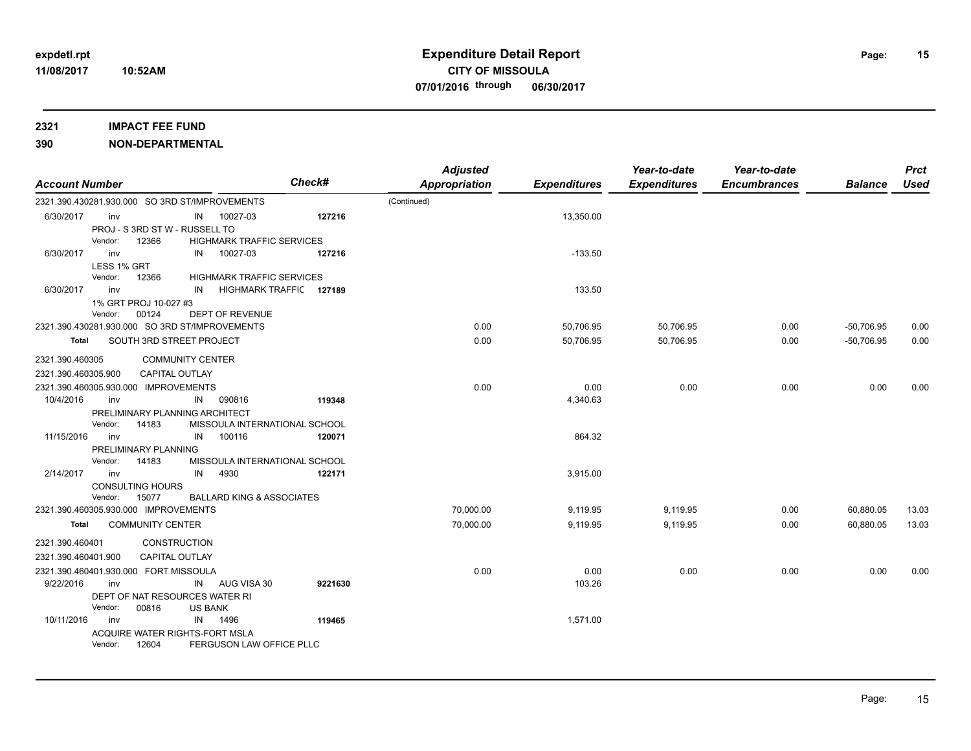#### **2321 IMPACT FEE FUND**

| <b>Account Number</b> |                                                |                                      | Check#                        | <b>Adjusted</b><br><b>Appropriation</b> | <b>Expenditures</b> | Year-to-date<br><b>Expenditures</b> | Year-to-date<br><b>Encumbrances</b> | <b>Balance</b> | <b>Prct</b><br>Used |
|-----------------------|------------------------------------------------|--------------------------------------|-------------------------------|-----------------------------------------|---------------------|-------------------------------------|-------------------------------------|----------------|---------------------|
|                       | 2321.390.430281.930.000 SO 3RD ST/IMPROVEMENTS |                                      |                               | (Continued)                             |                     |                                     |                                     |                |                     |
| 6/30/2017             | inv                                            | IN 10027-03                          | 127216                        |                                         | 13,350.00           |                                     |                                     |                |                     |
|                       | PROJ - S 3RD ST W - RUSSELL TO                 |                                      |                               |                                         |                     |                                     |                                     |                |                     |
|                       | Vendor:<br>12366                               | <b>HIGHMARK TRAFFIC SERVICES</b>     |                               |                                         |                     |                                     |                                     |                |                     |
| 6/30/2017             | inv                                            | 10027-03<br>IN                       | 127216                        |                                         | $-133.50$           |                                     |                                     |                |                     |
|                       | LESS 1% GRT                                    |                                      |                               |                                         |                     |                                     |                                     |                |                     |
|                       | Vendor:<br>12366                               | <b>HIGHMARK TRAFFIC SERVICES</b>     |                               |                                         |                     |                                     |                                     |                |                     |
| 6/30/2017             | inv                                            | IN                                   | HIGHMARK TRAFFIC 127189       |                                         | 133.50              |                                     |                                     |                |                     |
|                       | 1% GRT PROJ 10-027 #3                          |                                      |                               |                                         |                     |                                     |                                     |                |                     |
|                       | Vendor:<br>00124                               | DEPT OF REVENUE                      |                               |                                         |                     |                                     |                                     |                |                     |
|                       | 2321.390.430281.930.000 SO 3RD ST/IMPROVEMENTS |                                      |                               | 0.00                                    | 50,706.95           | 50,706.95                           | 0.00                                | $-50,706.95$   | 0.00                |
| Total                 | SOUTH 3RD STREET PROJECT                       |                                      |                               | 0.00                                    | 50,706.95           | 50,706.95                           | 0.00                                | $-50,706.95$   | 0.00                |
| 2321.390.460305       |                                                | <b>COMMUNITY CENTER</b>              |                               |                                         |                     |                                     |                                     |                |                     |
| 2321.390.460305.900   | <b>CAPITAL OUTLAY</b>                          |                                      |                               |                                         |                     |                                     |                                     |                |                     |
|                       | 2321.390.460305.930.000 IMPROVEMENTS           |                                      |                               | 0.00                                    | 0.00                | 0.00                                | 0.00                                | 0.00           | 0.00                |
| 10/4/2016             | inv                                            | 090816<br>IN                         | 119348                        |                                         | 4,340.63            |                                     |                                     |                |                     |
|                       | PRELIMINARY PLANNING ARCHITECT                 |                                      |                               |                                         |                     |                                     |                                     |                |                     |
|                       | Vendor:<br>14183                               | MISSOULA INTERNATIONAL SCHOOL        |                               |                                         |                     |                                     |                                     |                |                     |
| 11/15/2016            | inv                                            | 100116<br>IN                         | 120071                        |                                         | 864.32              |                                     |                                     |                |                     |
|                       | PRELIMINARY PLANNING                           |                                      |                               |                                         |                     |                                     |                                     |                |                     |
|                       | Vendor:<br>14183                               |                                      | MISSOULA INTERNATIONAL SCHOOL |                                         |                     |                                     |                                     |                |                     |
| 2/14/2017             | inv                                            | IN<br>4930                           | 122171                        |                                         | 3,915.00            |                                     |                                     |                |                     |
|                       | <b>CONSULTING HOURS</b>                        |                                      |                               |                                         |                     |                                     |                                     |                |                     |
|                       | Vendor:<br>15077                               | <b>BALLARD KING &amp; ASSOCIATES</b> |                               |                                         |                     |                                     |                                     |                |                     |
|                       | 2321.390.460305.930.000 IMPROVEMENTS           |                                      |                               | 70,000.00                               | 9,119.95            | 9,119.95                            | 0.00                                | 60,880.05      | 13.03               |
| Total                 | <b>COMMUNITY CENTER</b>                        |                                      |                               | 70,000.00                               | 9,119.95            | 9,119.95                            | 0.00                                | 60,880.05      | 13.03               |
| 2321.390.460401       |                                                | CONSTRUCTION                         |                               |                                         |                     |                                     |                                     |                |                     |
| 2321.390.460401.900   | CAPITAL OUTLAY                                 |                                      |                               |                                         |                     |                                     |                                     |                |                     |
|                       | 2321.390.460401.930.000 FORT MISSOULA          |                                      |                               | 0.00                                    | 0.00                | 0.00                                | 0.00                                | 0.00           | 0.00                |
| 9/22/2016             | inv                                            | IN AUG VISA 30                       | 9221630                       |                                         | 103.26              |                                     |                                     |                |                     |
|                       | DEPT OF NAT RESOURCES WATER RI                 |                                      |                               |                                         |                     |                                     |                                     |                |                     |
|                       | Vendor:<br>00816                               | <b>US BANK</b>                       |                               |                                         |                     |                                     |                                     |                |                     |
| 10/11/2016            | inv                                            | IN 1496                              | 119465                        |                                         | 1,571.00            |                                     |                                     |                |                     |
|                       | ACQUIRE WATER RIGHTS-FORT MSLA                 |                                      |                               |                                         |                     |                                     |                                     |                |                     |
|                       | Vendor:<br>12604                               | FERGUSON LAW OFFICE PLLC             |                               |                                         |                     |                                     |                                     |                |                     |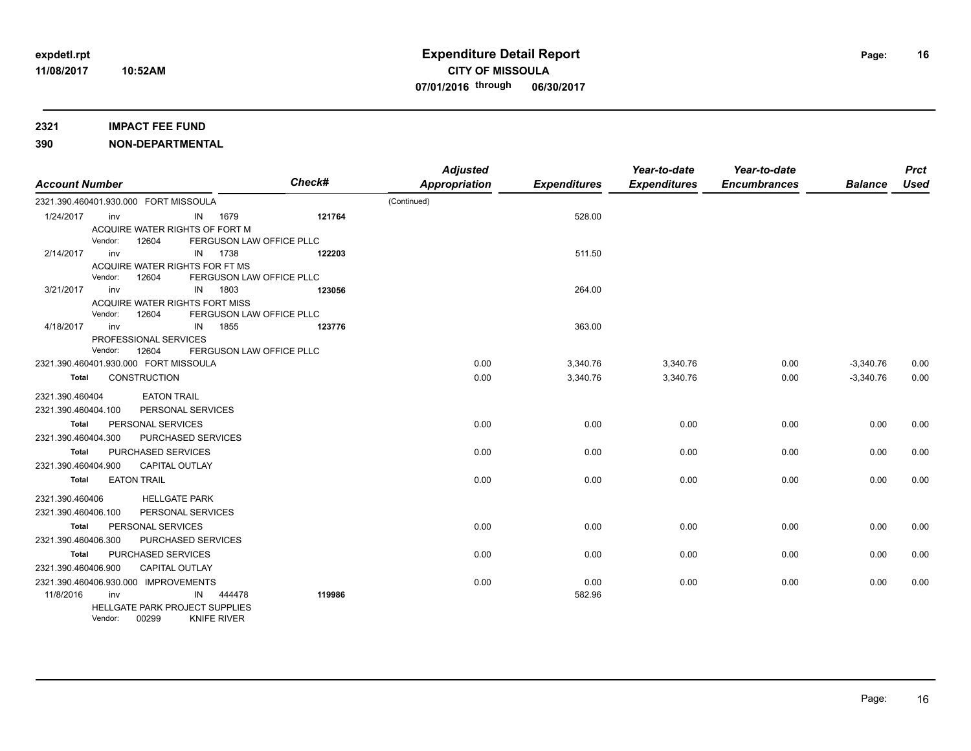### **2321 IMPACT FEE FUND**

| <b>Account Number</b>                 |         |                                |                       |                          | <b>Check#</b> | <b>Adjusted</b><br><b>Appropriation</b> | <b>Expenditures</b> | Year-to-date<br><b>Expenditures</b> | Year-to-date<br><b>Encumbrances</b> | <b>Balance</b> | <b>Prct</b><br>Used |
|---------------------------------------|---------|--------------------------------|-----------------------|--------------------------|---------------|-----------------------------------------|---------------------|-------------------------------------|-------------------------------------|----------------|---------------------|
| 2321.390.460401.930.000 FORT MISSOULA |         |                                |                       |                          |               | (Continued)                             |                     |                                     |                                     |                |                     |
| 1/24/2017                             | inv     |                                |                       | IN 1679                  | 121764        |                                         | 528.00              |                                     |                                     |                |                     |
|                                       |         | ACQUIRE WATER RIGHTS OF FORT M |                       |                          |               |                                         |                     |                                     |                                     |                |                     |
|                                       | Vendor: | 12604                          |                       | FERGUSON LAW OFFICE PLLC |               |                                         |                     |                                     |                                     |                |                     |
| 2/14/2017                             | inv     |                                |                       | IN 1738                  | 122203        |                                         | 511.50              |                                     |                                     |                |                     |
|                                       |         | ACQUIRE WATER RIGHTS FOR FT MS |                       |                          |               |                                         |                     |                                     |                                     |                |                     |
|                                       | Vendor: | 12604                          |                       | FERGUSON LAW OFFICE PLLC |               |                                         |                     |                                     |                                     |                |                     |
| 3/21/2017                             | inv     |                                | IN                    | 1803                     | 123056        |                                         | 264.00              |                                     |                                     |                |                     |
|                                       |         | ACQUIRE WATER RIGHTS FORT MISS |                       |                          |               |                                         |                     |                                     |                                     |                |                     |
|                                       | Vendor: | 12604                          |                       | FERGUSON LAW OFFICE PLLC |               |                                         |                     |                                     |                                     |                |                     |
| 4/18/2017                             | inv     |                                | IN                    | 1855                     | 123776        |                                         | 363.00              |                                     |                                     |                |                     |
|                                       |         | PROFESSIONAL SERVICES          |                       |                          |               |                                         |                     |                                     |                                     |                |                     |
|                                       | Vendor: | 12604                          |                       | FERGUSON LAW OFFICE PLLC |               |                                         |                     |                                     |                                     |                |                     |
| 2321.390.460401.930.000 FORT MISSOULA |         |                                |                       |                          |               | 0.00                                    | 3,340.76            | 3,340.76                            | 0.00                                | $-3,340.76$    | 0.00                |
| Total                                 |         | <b>CONSTRUCTION</b>            |                       |                          |               | 0.00                                    | 3,340.76            | 3,340.76                            | 0.00                                | $-3,340.76$    | 0.00                |
| 2321.390.460404                       |         | <b>EATON TRAIL</b>             |                       |                          |               |                                         |                     |                                     |                                     |                |                     |
| 2321.390.460404.100                   |         |                                | PERSONAL SERVICES     |                          |               |                                         |                     |                                     |                                     |                |                     |
| Total                                 |         | PERSONAL SERVICES              |                       |                          |               | 0.00                                    | 0.00                | 0.00                                | 0.00                                | 0.00           | 0.00                |
| 2321.390.460404.300                   |         |                                | PURCHASED SERVICES    |                          |               |                                         |                     |                                     |                                     |                |                     |
| Total                                 |         | PURCHASED SERVICES             |                       |                          |               | 0.00                                    | 0.00                | 0.00                                | 0.00                                | 0.00           | 0.00                |
| 2321.390.460404.900                   |         |                                | <b>CAPITAL OUTLAY</b> |                          |               |                                         |                     |                                     |                                     |                |                     |
| <b>Total</b>                          |         | <b>EATON TRAIL</b>             |                       |                          |               | 0.00                                    | 0.00                | 0.00                                | 0.00                                | 0.00           | 0.00                |
|                                       |         |                                |                       |                          |               |                                         |                     |                                     |                                     |                |                     |
| 2321.390.460406                       |         |                                | <b>HELLGATE PARK</b>  |                          |               |                                         |                     |                                     |                                     |                |                     |
| 2321.390.460406.100                   |         |                                | PERSONAL SERVICES     |                          |               |                                         |                     |                                     |                                     |                |                     |
| Total                                 |         | PERSONAL SERVICES              |                       |                          |               | 0.00                                    | 0.00                | 0.00                                | 0.00                                | 0.00           | 0.00                |
| 2321.390.460406.300                   |         |                                | PURCHASED SERVICES    |                          |               |                                         |                     |                                     |                                     |                |                     |
| Total                                 |         | PURCHASED SERVICES             |                       |                          |               | 0.00                                    | 0.00                | 0.00                                | 0.00                                | 0.00           | 0.00                |
| 2321.390.460406.900                   |         |                                | <b>CAPITAL OUTLAY</b> |                          |               |                                         |                     |                                     |                                     |                |                     |
| 2321.390.460406.930.000 IMPROVEMENTS  |         |                                |                       |                          |               | 0.00                                    | 0.00                | 0.00                                | 0.00                                | 0.00           | 0.00                |
| 11/8/2016                             | inv     |                                | IN                    | 444478                   | 119986        |                                         | 582.96              |                                     |                                     |                |                     |
|                                       |         | HELLGATE PARK PROJECT SUPPLIES |                       |                          |               |                                         |                     |                                     |                                     |                |                     |
|                                       | Vendor: | 00299                          |                       | <b>KNIFE RIVER</b>       |               |                                         |                     |                                     |                                     |                |                     |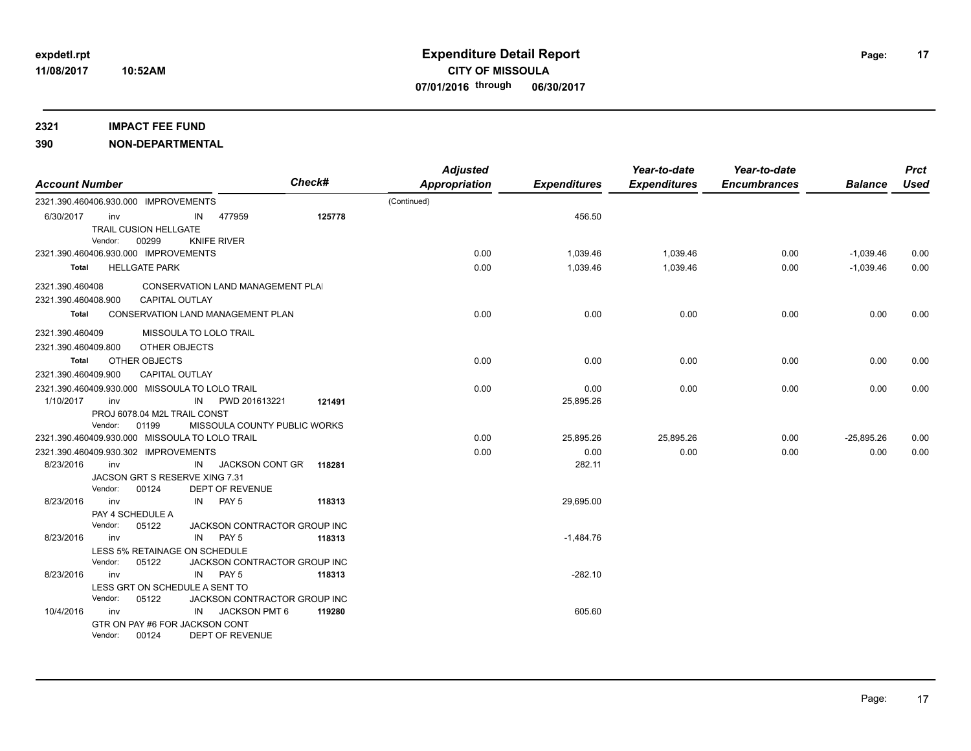### **2321 IMPACT FEE FUND**

| <b>Account Number</b>                          |                                              |                                                |    |                                          | Check#                                 | <b>Adjusted</b><br><b>Appropriation</b> | <b>Expenditures</b> | Year-to-date<br><b>Expenditures</b> | Year-to-date<br><b>Encumbrances</b> | <b>Balance</b> | <b>Prct</b><br>Used |
|------------------------------------------------|----------------------------------------------|------------------------------------------------|----|------------------------------------------|----------------------------------------|-----------------------------------------|---------------------|-------------------------------------|-------------------------------------|----------------|---------------------|
|                                                |                                              | 2321.390.460406.930.000 IMPROVEMENTS           |    |                                          |                                        | (Continued)                             |                     |                                     |                                     |                |                     |
| 6/30/2017                                      | inv                                          |                                                | IN | 477959                                   | 125778                                 |                                         | 456.50              |                                     |                                     |                |                     |
|                                                |                                              | TRAIL CUSION HELLGATE                          |    |                                          |                                        |                                         |                     |                                     |                                     |                |                     |
|                                                | Vendor:                                      | 00299                                          |    | <b>KNIFE RIVER</b>                       |                                        |                                         |                     |                                     |                                     |                |                     |
|                                                |                                              | 2321.390.460406.930.000 IMPROVEMENTS           |    |                                          |                                        | 0.00                                    | 1,039.46            | 1,039.46                            | 0.00                                | $-1,039.46$    | 0.00                |
| Total                                          |                                              | <b>HELLGATE PARK</b>                           |    |                                          |                                        | 0.00                                    | 1.039.46            | 1.039.46                            | 0.00                                | $-1,039.46$    | 0.00                |
| 2321.390.460408                                |                                              |                                                |    | CONSERVATION LAND MANAGEMENT PLAI        |                                        |                                         |                     |                                     |                                     |                |                     |
| 2321.390.460408.900                            |                                              | <b>CAPITAL OUTLAY</b>                          |    |                                          |                                        |                                         |                     |                                     |                                     |                |                     |
| Total                                          |                                              |                                                |    | <b>CONSERVATION LAND MANAGEMENT PLAN</b> |                                        | 0.00                                    | 0.00                | 0.00                                | 0.00                                | 0.00           | 0.00                |
| 2321.390.460409                                |                                              | MISSOULA TO LOLO TRAIL                         |    |                                          |                                        |                                         |                     |                                     |                                     |                |                     |
| 2321.390.460409.800                            |                                              | OTHER OBJECTS                                  |    |                                          |                                        |                                         |                     |                                     |                                     |                |                     |
| Total                                          |                                              | OTHER OBJECTS                                  |    |                                          |                                        | 0.00                                    | 0.00                | 0.00                                | 0.00                                | 0.00           | 0.00                |
|                                                | 2321.390.460409.900<br><b>CAPITAL OUTLAY</b> |                                                |    |                                          |                                        |                                         |                     |                                     |                                     |                |                     |
| 2321.390.460409.930.000 MISSOULA TO LOLO TRAIL |                                              |                                                |    |                                          | 0.00                                   | 0.00                                    | 0.00                | 0.00                                | 0.00                                | 0.00           |                     |
| 1/10/2017                                      | inv                                          |                                                | IN | PWD 201613221                            | 121491                                 |                                         | 25,895.26           |                                     |                                     |                |                     |
|                                                |                                              | PROJ 6078.04 M2L TRAIL CONST                   |    |                                          |                                        |                                         |                     |                                     |                                     |                |                     |
|                                                | Vendor:                                      | 01199                                          |    |                                          | MISSOULA COUNTY PUBLIC WORKS           |                                         |                     |                                     |                                     |                |                     |
|                                                |                                              | 2321.390.460409.930.000 MISSOULA TO LOLO TRAIL |    |                                          |                                        | 0.00                                    | 25,895.26           | 25,895.26                           | 0.00                                | $-25,895.26$   | 0.00                |
|                                                |                                              | 2321.390.460409.930.302 IMPROVEMENTS           |    |                                          |                                        | 0.00                                    | 0.00                | 0.00                                | 0.00                                | 0.00           | 0.00                |
| 8/23/2016                                      | inv                                          |                                                | IN | JACKSON CONT GR                          | 118281                                 |                                         | 282.11              |                                     |                                     |                |                     |
|                                                |                                              | JACSON GRT S RESERVE XING 7.31                 |    |                                          |                                        |                                         |                     |                                     |                                     |                |                     |
|                                                | Vendor:                                      | 00124                                          |    | DEPT OF REVENUE                          |                                        |                                         |                     |                                     |                                     |                |                     |
| 8/23/2016                                      | inv                                          |                                                |    | IN PAY 5                                 | 118313                                 |                                         | 29,695.00           |                                     |                                     |                |                     |
|                                                |                                              | PAY 4 SCHEDULE A                               |    |                                          |                                        |                                         |                     |                                     |                                     |                |                     |
| 8/23/2016                                      | Vendor:                                      | 05122                                          |    | PAY <sub>5</sub>                         | JACKSON CONTRACTOR GROUP INC<br>118313 |                                         | $-1,484.76$         |                                     |                                     |                |                     |
|                                                | inv                                          | LESS 5% RETAINAGE ON SCHEDULE                  | IN |                                          |                                        |                                         |                     |                                     |                                     |                |                     |
|                                                | Vendor:                                      | 05122                                          |    |                                          | JACKSON CONTRACTOR GROUP INC           |                                         |                     |                                     |                                     |                |                     |
| 8/23/2016                                      | inv                                          |                                                | IN | PAY 5                                    | 118313                                 |                                         | $-282.10$           |                                     |                                     |                |                     |
|                                                |                                              | LESS GRT ON SCHEDULE A SENT TO                 |    |                                          |                                        |                                         |                     |                                     |                                     |                |                     |
|                                                | Vendor:                                      | 05122                                          |    |                                          | JACKSON CONTRACTOR GROUP INC           |                                         |                     |                                     |                                     |                |                     |
| 10/4/2016                                      | inv                                          |                                                |    | IN JACKSON PMT 6                         | 119280                                 |                                         | 605.60              |                                     |                                     |                |                     |
|                                                | GTR ON PAY #6 FOR JACKSON CONT               |                                                |    |                                          |                                        |                                         |                     |                                     |                                     |                |                     |
|                                                | Vendor:                                      | 00124                                          |    | DEPT OF REVENUE                          |                                        |                                         |                     |                                     |                                     |                |                     |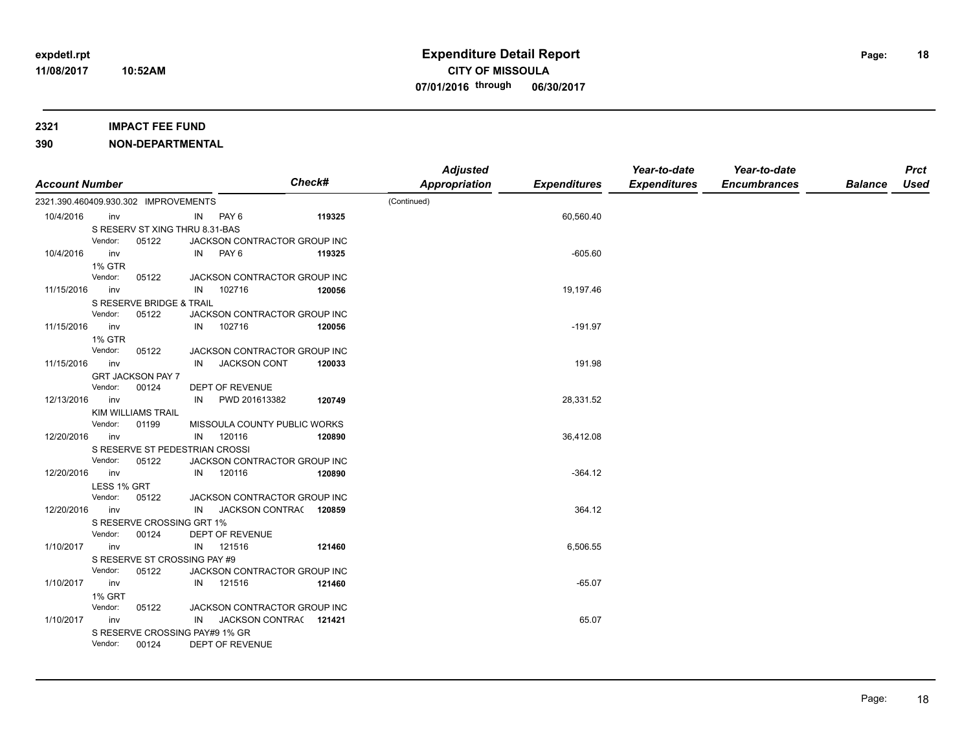### **2321 IMPACT FEE FUND**

|                       |                                                    |    |                                        | Check# | <b>Adjusted</b>      |                     | Year-to-date        | Year-to-date        |                | <b>Prct</b> |
|-----------------------|----------------------------------------------------|----|----------------------------------------|--------|----------------------|---------------------|---------------------|---------------------|----------------|-------------|
| <b>Account Number</b> |                                                    |    |                                        |        | <b>Appropriation</b> | <b>Expenditures</b> | <b>Expenditures</b> | <b>Encumbrances</b> | <b>Balance</b> | <b>Used</b> |
|                       | 2321.390.460409.930.302 IMPROVEMENTS               |    |                                        |        | (Continued)          |                     |                     |                     |                |             |
| 10/4/2016             | inv                                                | IN | PAY 6                                  | 119325 |                      | 60,560.40           |                     |                     |                |             |
|                       | S RESERV ST XING THRU 8.31-BAS                     |    |                                        |        |                      |                     |                     |                     |                |             |
|                       | Vendor:<br>05122                                   |    | JACKSON CONTRACTOR GROUP INC           |        |                      |                     |                     |                     |                |             |
| 10/4/2016             | inv                                                |    | IN PAY 6                               | 119325 |                      | $-605.60$           |                     |                     |                |             |
|                       | <b>1% GTR</b>                                      |    |                                        |        |                      |                     |                     |                     |                |             |
|                       | Vendor:<br>05122                                   |    | JACKSON CONTRACTOR GROUP INC           |        |                      |                     |                     |                     |                |             |
| 11/15/2016            | inv                                                | IN | 102716                                 | 120056 |                      | 19,197.46           |                     |                     |                |             |
|                       | S RESERVE BRIDGE & TRAIL                           |    |                                        |        |                      |                     |                     |                     |                |             |
| 11/15/2016            | Vendor:<br>05122                                   |    | JACKSON CONTRACTOR GROUP INC<br>102716 |        |                      | $-191.97$           |                     |                     |                |             |
|                       | inv                                                | IN |                                        | 120056 |                      |                     |                     |                     |                |             |
|                       | <b>1% GTR</b><br>Vendor:<br>05122                  |    | JACKSON CONTRACTOR GROUP INC           |        |                      |                     |                     |                     |                |             |
| 11/15/2016            | inv                                                | IN | <b>JACKSON CONT</b>                    | 120033 |                      | 191.98              |                     |                     |                |             |
|                       | <b>GRT JACKSON PAY 7</b>                           |    |                                        |        |                      |                     |                     |                     |                |             |
|                       | Vendor:<br>00124                                   |    | DEPT OF REVENUE                        |        |                      |                     |                     |                     |                |             |
| 12/13/2016            | inv                                                | IN | PWD 201613382                          | 120749 |                      | 28,331.52           |                     |                     |                |             |
|                       | KIM WILLIAMS TRAIL                                 |    |                                        |        |                      |                     |                     |                     |                |             |
|                       | Vendor:<br>01199                                   |    | MISSOULA COUNTY PUBLIC WORKS           |        |                      |                     |                     |                     |                |             |
| 12/20/2016            | inv                                                |    | IN 120116                              | 120890 |                      | 36,412.08           |                     |                     |                |             |
|                       | S RESERVE ST PEDESTRIAN CROSSI                     |    |                                        |        |                      |                     |                     |                     |                |             |
|                       | Vendor:<br>05122                                   |    | JACKSON CONTRACTOR GROUP INC           |        |                      |                     |                     |                     |                |             |
| 12/20/2016            | inv                                                |    | IN 120116                              | 120890 |                      | $-364.12$           |                     |                     |                |             |
|                       | LESS 1% GRT                                        |    |                                        |        |                      |                     |                     |                     |                |             |
|                       | Vendor:<br>05122                                   |    | JACKSON CONTRACTOR GROUP INC           |        |                      |                     |                     |                     |                |             |
| 12/20/2016            | inv                                                | IN | JACKSON CONTRAC 120859                 |        |                      | 364.12              |                     |                     |                |             |
|                       | S RESERVE CROSSING GRT 1%                          |    |                                        |        |                      |                     |                     |                     |                |             |
|                       | Vendor:<br>00124                                   |    | DEPT OF REVENUE                        |        |                      |                     |                     |                     |                |             |
| 1/10/2017             | inv                                                | IN | 121516                                 | 121460 |                      | 6,506.55            |                     |                     |                |             |
|                       | S RESERVE ST CROSSING PAY #9                       |    |                                        |        |                      |                     |                     |                     |                |             |
|                       | Vendor:<br>05122                                   |    | JACKSON CONTRACTOR GROUP INC           |        |                      |                     |                     |                     |                |             |
| 1/10/2017             | inv                                                |    | IN 121516                              | 121460 |                      | $-65.07$            |                     |                     |                |             |
|                       | <b>1% GRT</b>                                      |    |                                        |        |                      |                     |                     |                     |                |             |
|                       | Vendor:<br>05122                                   |    | JACKSON CONTRACTOR GROUP INC           |        |                      |                     |                     |                     |                |             |
| 1/10/2017             | inv                                                | IN | JACKSON CONTRA(121421                  |        |                      | 65.07               |                     |                     |                |             |
|                       | S RESERVE CROSSING PAY#9 1% GR<br>00124<br>Vendor: |    | DEPT OF REVENUE                        |        |                      |                     |                     |                     |                |             |
|                       |                                                    |    |                                        |        |                      |                     |                     |                     |                |             |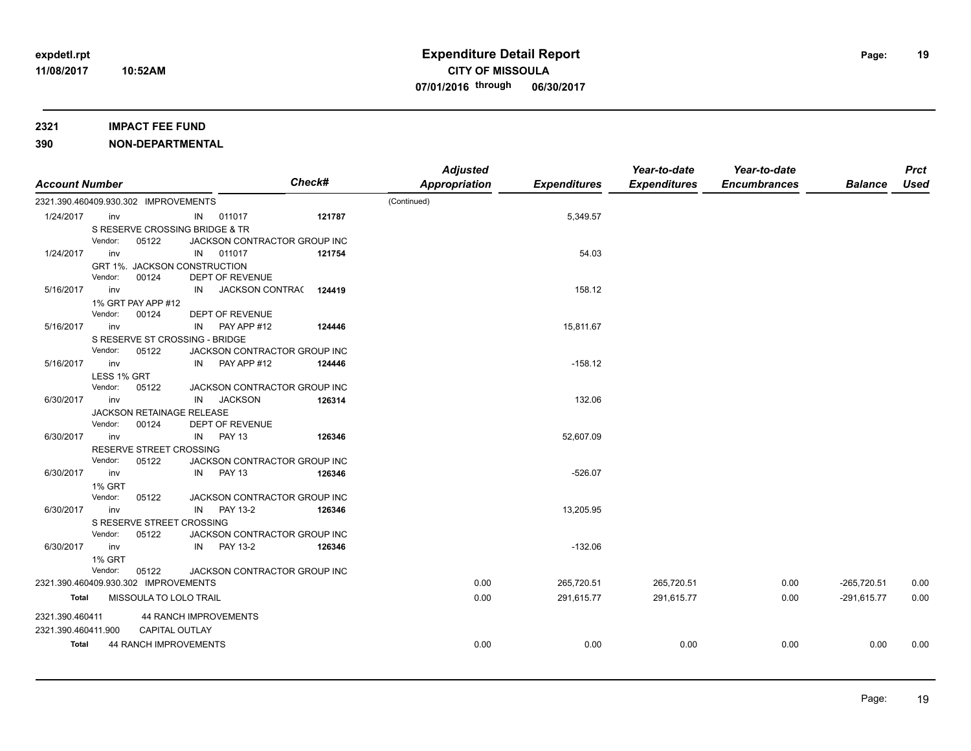### **2321 IMPACT FEE FUND**

| <b>Account Number</b> |                                      |                        |                              | <b>Check#</b> | <b>Adjusted</b><br>Appropriation | <b>Expenditures</b> | Year-to-date<br><b>Expenditures</b> | Year-to-date<br><b>Encumbrances</b> | <b>Balance</b> | <b>Prct</b><br>Used |
|-----------------------|--------------------------------------|------------------------|------------------------------|---------------|----------------------------------|---------------------|-------------------------------------|-------------------------------------|----------------|---------------------|
|                       | 2321.390.460409.930.302 IMPROVEMENTS |                        |                              |               | (Continued)                      |                     |                                     |                                     |                |                     |
| 1/24/2017             | inv                                  |                        | IN 011017                    | 121787        |                                  | 5,349.57            |                                     |                                     |                |                     |
|                       | S RESERVE CROSSING BRIDGE & TR       |                        |                              |               |                                  |                     |                                     |                                     |                |                     |
|                       | Vendor:                              | 05122                  | JACKSON CONTRACTOR GROUP INC |               |                                  |                     |                                     |                                     |                |                     |
| 1/24/2017             | inv                                  |                        | IN 011017                    | 121754        |                                  | 54.03               |                                     |                                     |                |                     |
|                       | GRT 1%. JACKSON CONSTRUCTION         |                        |                              |               |                                  |                     |                                     |                                     |                |                     |
|                       | Vendor:                              | 00124                  | DEPT OF REVENUE              |               |                                  |                     |                                     |                                     |                |                     |
| 5/16/2017             | inv                                  | IN                     | JACKSON CONTRA(124419        |               |                                  | 158.12              |                                     |                                     |                |                     |
|                       | 1% GRT PAY APP #12                   |                        |                              |               |                                  |                     |                                     |                                     |                |                     |
|                       | Vendor:<br>00124                     |                        | DEPT OF REVENUE              |               |                                  |                     |                                     |                                     |                |                     |
| 5/16/2017             | inv                                  | IN                     | PAY APP #12                  | 124446        |                                  | 15,811.67           |                                     |                                     |                |                     |
|                       | S RESERVE ST CROSSING - BRIDGE       |                        |                              |               |                                  |                     |                                     |                                     |                |                     |
|                       | Vendor:                              | 05122                  | JACKSON CONTRACTOR GROUP INC |               |                                  |                     |                                     |                                     |                |                     |
| 5/16/2017             | inv                                  | IN                     | PAY APP #12                  | 124446        |                                  | $-158.12$           |                                     |                                     |                |                     |
|                       | LESS 1% GRT                          |                        |                              |               |                                  |                     |                                     |                                     |                |                     |
|                       | Vendor:                              | 05122                  | JACKSON CONTRACTOR GROUP INC |               |                                  |                     |                                     |                                     |                |                     |
| 6/30/2017             | inv                                  | IN                     | <b>JACKSON</b>               | 126314        |                                  | 132.06              |                                     |                                     |                |                     |
|                       | JACKSON RETAINAGE RELEASE            |                        |                              |               |                                  |                     |                                     |                                     |                |                     |
|                       | Vendor:<br>00124                     |                        | <b>DEPT OF REVENUE</b>       |               |                                  |                     |                                     |                                     |                |                     |
| 6/30/2017             | inv                                  | IN                     | <b>PAY 13</b>                | 126346        |                                  | 52,607.09           |                                     |                                     |                |                     |
|                       | RESERVE STREET CROSSING              |                        |                              |               |                                  |                     |                                     |                                     |                |                     |
|                       | Vendor:                              | 05122                  | JACKSON CONTRACTOR GROUP INC |               |                                  |                     |                                     |                                     |                |                     |
| 6/30/2017             | inv                                  |                        | IN PAY 13                    | 126346        |                                  | $-526.07$           |                                     |                                     |                |                     |
|                       | <b>1% GRT</b>                        |                        |                              |               |                                  |                     |                                     |                                     |                |                     |
|                       | Vendor:                              | 05122                  | JACKSON CONTRACTOR GROUP INC |               |                                  |                     |                                     |                                     |                |                     |
| 6/30/2017             | inv                                  | IN                     | PAY 13-2                     | 126346        |                                  | 13,205.95           |                                     |                                     |                |                     |
|                       | S RESERVE STREET CROSSING            |                        |                              |               |                                  |                     |                                     |                                     |                |                     |
|                       | Vendor:                              | 05122                  | JACKSON CONTRACTOR GROUP INC |               |                                  |                     |                                     |                                     |                |                     |
| 6/30/2017             | inv                                  |                        | IN PAY 13-2                  | 126346        |                                  | $-132.06$           |                                     |                                     |                |                     |
|                       | 1% GRT                               |                        |                              |               |                                  |                     |                                     |                                     |                |                     |
|                       | Vendor:                              | 05122                  | JACKSON CONTRACTOR GROUP INC |               | 0.00                             |                     |                                     |                                     |                |                     |
|                       | 2321.390.460409.930.302 IMPROVEMENTS |                        |                              |               |                                  | 265,720.51          | 265,720.51                          | 0.00                                | $-265,720.51$  | 0.00                |
| Total                 |                                      | MISSOULA TO LOLO TRAIL |                              |               | 0.00                             | 291,615.77          | 291,615.77                          | 0.00                                | $-291,615.77$  | 0.00                |
| 2321.390.460411       |                                      |                        | 44 RANCH IMPROVEMENTS        |               |                                  |                     |                                     |                                     |                |                     |
| 2321.390.460411.900   |                                      | CAPITAL OUTLAY         |                              |               |                                  |                     |                                     |                                     |                |                     |
| Total                 |                                      | 44 RANCH IMPROVEMENTS  |                              |               | 0.00                             | 0.00                | 0.00                                | 0.00                                | 0.00           | 0.00                |
|                       |                                      |                        |                              |               |                                  |                     |                                     |                                     |                |                     |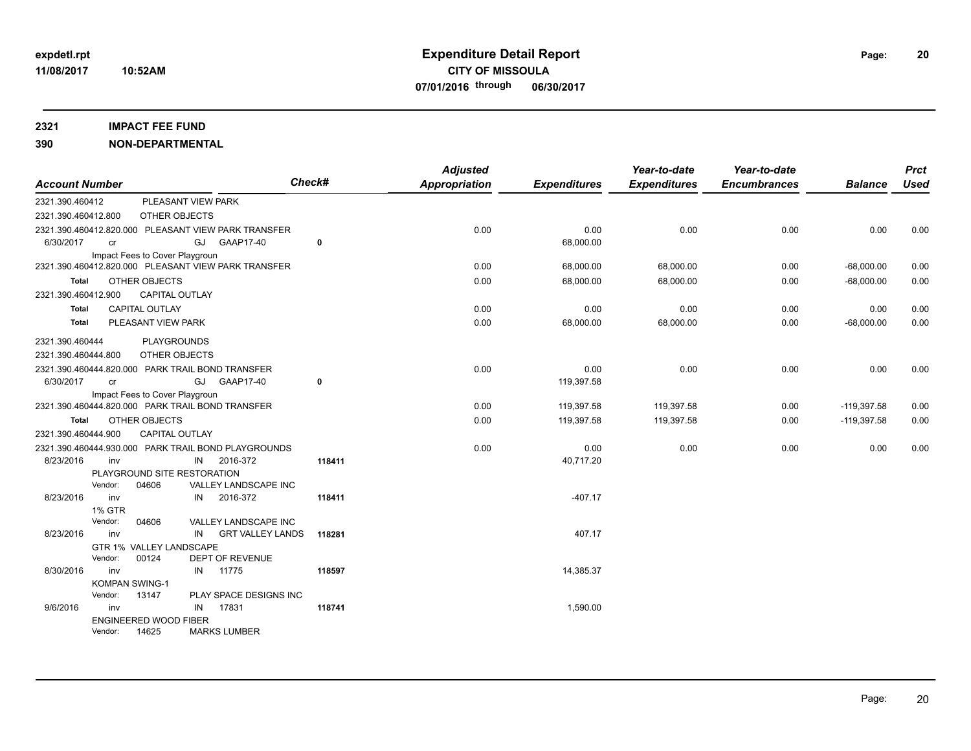### **2321 IMPACT FEE FUND**

| <b>Account Number</b> |                          |                                |    |                                                     | Check#       | <b>Adjusted</b><br><b>Appropriation</b> | <b>Expenditures</b> | Year-to-date<br><b>Expenditures</b> | Year-to-date<br><b>Encumbrances</b> | <b>Balance</b> | <b>Prct</b><br>Used |
|-----------------------|--------------------------|--------------------------------|----|-----------------------------------------------------|--------------|-----------------------------------------|---------------------|-------------------------------------|-------------------------------------|----------------|---------------------|
| 2321.390.460412       |                          | PLEASANT VIEW PARK             |    |                                                     |              |                                         |                     |                                     |                                     |                |                     |
| 2321.390.460412.800   |                          | OTHER OBJECTS                  |    |                                                     |              |                                         |                     |                                     |                                     |                |                     |
|                       |                          |                                |    | 2321.390.460412.820.000 PLEASANT VIEW PARK TRANSFER |              | 0.00                                    | 0.00                | 0.00                                | 0.00                                | 0.00           | 0.00                |
| 6/30/2017             | cr                       |                                |    | GJ GAAP17-40                                        | 0            |                                         | 68,000.00           |                                     |                                     |                |                     |
|                       |                          | Impact Fees to Cover Playgroun |    |                                                     |              |                                         |                     |                                     |                                     |                |                     |
|                       |                          |                                |    | 2321.390.460412.820.000 PLEASANT VIEW PARK TRANSFER |              | 0.00                                    | 68,000.00           | 68,000.00                           | 0.00                                | $-68,000.00$   | 0.00                |
| Total                 |                          | OTHER OBJECTS                  |    |                                                     |              | 0.00                                    | 68,000.00           | 68,000.00                           | 0.00                                | $-68,000.00$   | 0.00                |
| 2321.390.460412.900   |                          | <b>CAPITAL OUTLAY</b>          |    |                                                     |              |                                         |                     |                                     |                                     |                |                     |
| <b>Total</b>          |                          | <b>CAPITAL OUTLAY</b>          |    |                                                     |              | 0.00                                    | 0.00                | 0.00                                | 0.00                                | 0.00           | 0.00                |
| <b>Total</b>          |                          | PLEASANT VIEW PARK             |    |                                                     |              | 0.00                                    | 68,000.00           | 68,000.00                           | 0.00                                | $-68,000.00$   | 0.00                |
| 2321.390.460444       |                          | PLAYGROUNDS                    |    |                                                     |              |                                         |                     |                                     |                                     |                |                     |
| 2321.390.460444.800   |                          | OTHER OBJECTS                  |    |                                                     |              |                                         |                     |                                     |                                     |                |                     |
|                       |                          |                                |    | 2321.390.460444.820.000 PARK TRAIL BOND TRANSFER    |              | 0.00                                    | 0.00                | 0.00                                | 0.00                                | 0.00           | 0.00                |
| 6/30/2017             | cr                       |                                |    | GJ GAAP17-40                                        | $\mathbf{0}$ |                                         | 119,397.58          |                                     |                                     |                |                     |
|                       |                          | Impact Fees to Cover Playgroun |    |                                                     |              |                                         |                     |                                     |                                     |                |                     |
|                       |                          |                                |    | 2321.390.460444.820.000 PARK TRAIL BOND TRANSFER    |              | 0.00                                    | 119,397.58          | 119,397.58                          | 0.00                                | $-119,397.58$  | 0.00                |
| Total                 |                          | OTHER OBJECTS                  |    |                                                     |              | 0.00                                    | 119,397.58          | 119,397.58                          | 0.00                                | $-119,397.58$  | 0.00                |
| 2321.390.460444.900   |                          | <b>CAPITAL OUTLAY</b>          |    |                                                     |              |                                         |                     |                                     |                                     |                |                     |
|                       |                          |                                |    | 2321.390.460444.930.000 PARK TRAIL BOND PLAYGROUNDS |              | 0.00                                    | 0.00                | 0.00                                | 0.00                                | 0.00           | 0.00                |
| 8/23/2016             | inv                      |                                | IN | 2016-372                                            | 118411       |                                         | 40,717.20           |                                     |                                     |                |                     |
|                       |                          | PLAYGROUND SITE RESTORATION    |    |                                                     |              |                                         |                     |                                     |                                     |                |                     |
|                       | Vendor:                  | 04606                          |    | VALLEY LANDSCAPE INC                                |              |                                         |                     |                                     |                                     |                |                     |
| 8/23/2016             | inv                      |                                | IN | 2016-372                                            | 118411       |                                         | $-407.17$           |                                     |                                     |                |                     |
|                       | <b>1% GTR</b><br>Vendor: |                                |    |                                                     |              |                                         |                     |                                     |                                     |                |                     |
| 8/23/2016             | inv                      | 04606                          |    | VALLEY LANDSCAPE INC<br><b>GRT VALLEY LANDS</b>     | 118281       |                                         | 407.17              |                                     |                                     |                |                     |
|                       |                          | GTR 1% VALLEY LANDSCAPE        | IN |                                                     |              |                                         |                     |                                     |                                     |                |                     |
|                       | Vendor:                  | 00124                          |    | <b>DEPT OF REVENUE</b>                              |              |                                         |                     |                                     |                                     |                |                     |
| 8/30/2016             | inv                      |                                | IN | 11775                                               | 118597       |                                         | 14,385.37           |                                     |                                     |                |                     |
|                       | <b>KOMPAN SWING-1</b>    |                                |    |                                                     |              |                                         |                     |                                     |                                     |                |                     |
|                       | Vendor:                  | 13147                          |    | PLAY SPACE DESIGNS INC                              |              |                                         |                     |                                     |                                     |                |                     |
| 9/6/2016              | inv                      |                                | IN | 17831                                               | 118741       |                                         | 1,590.00            |                                     |                                     |                |                     |
|                       |                          | <b>ENGINEERED WOOD FIBER</b>   |    |                                                     |              |                                         |                     |                                     |                                     |                |                     |
|                       | Vendor:                  | 14625                          |    | <b>MARKS LUMBER</b>                                 |              |                                         |                     |                                     |                                     |                |                     |